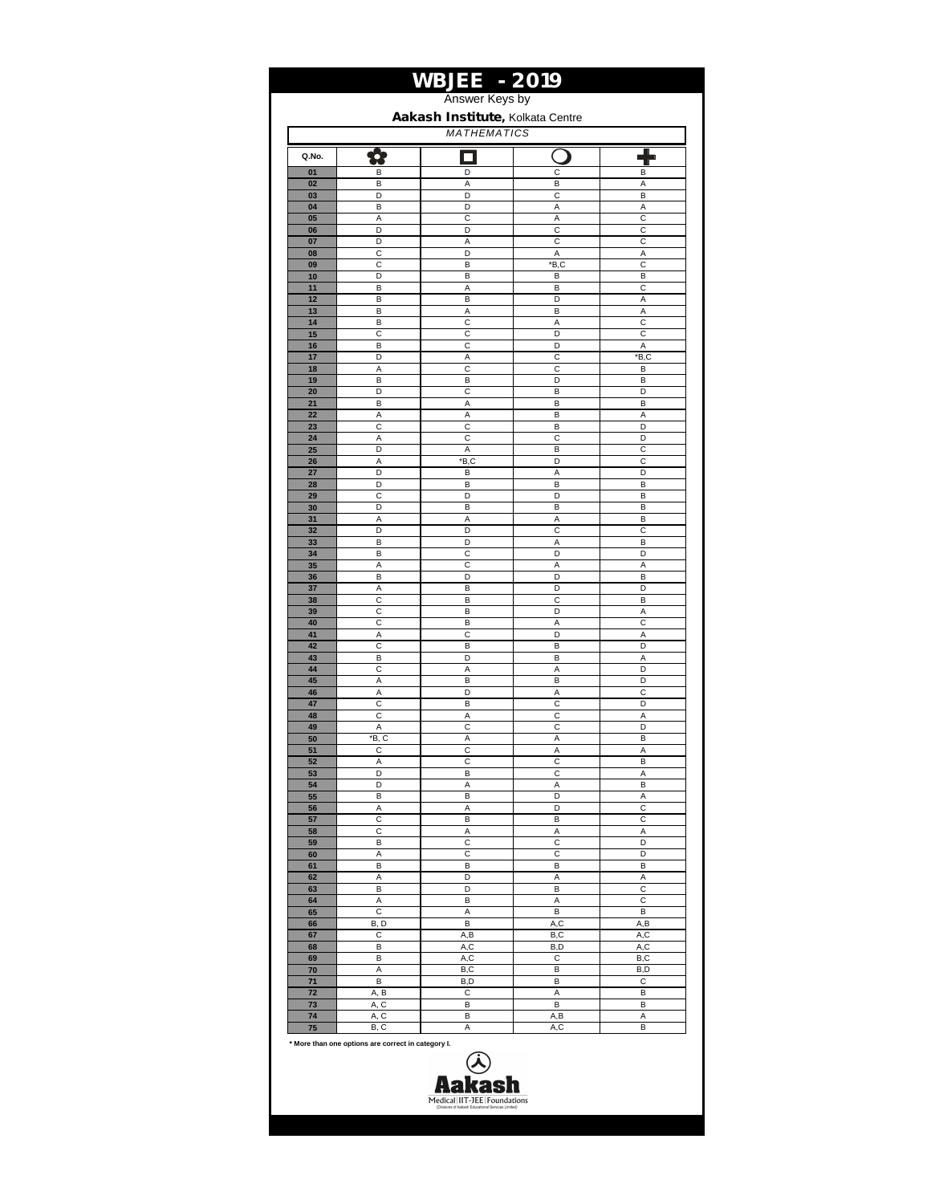|                                                        |              | <b>WBJEE - 2019</b><br>Answer Keys by |              |            |  |  |
|--------------------------------------------------------|--------------|---------------------------------------|--------------|------------|--|--|
|                                                        |              |                                       |              |            |  |  |
| Aakash Institute, Kolkata Centre<br><b>MATHEMATICS</b> |              |                                       |              |            |  |  |
| Q.No.                                                  |              |                                       |              |            |  |  |
| 01                                                     | В            | D                                     | C            | B          |  |  |
| 02                                                     | В            | Α                                     | В            | Α          |  |  |
| 03                                                     | D            | D                                     | C            | B          |  |  |
| 04                                                     | В            | D                                     | Α            | Α          |  |  |
| 05                                                     | Α            | C                                     | Α            | C          |  |  |
| 06                                                     | D            | D                                     | $\mathsf{C}$ | C          |  |  |
| 07                                                     | D<br>C       | Α<br>D                                | С            | C<br>A     |  |  |
| 08<br>09                                               | С            | B                                     | Α<br>*B,C    | С          |  |  |
| 10                                                     | D            | B                                     | B            | B          |  |  |
| 11                                                     | В            | А                                     | В            | С          |  |  |
| 12                                                     | B            | B                                     | D            | Α          |  |  |
| 13                                                     | B            | Α                                     | B            | A          |  |  |
| 14                                                     | B            | C                                     | A            | C          |  |  |
| 15                                                     | С            | С                                     | D            | C          |  |  |
| 16<br>17                                               | B<br>D       | C<br>Α                                | D<br>C       | A<br>*B,C  |  |  |
| 18                                                     | Α            | C                                     | C            | В          |  |  |
| 19                                                     | В            | В                                     | D            | B          |  |  |
| 20                                                     | D            | C                                     | В            | D          |  |  |
| 21                                                     | B            | Α                                     | B            | B          |  |  |
| 22                                                     | Α            | Α                                     | B            | A          |  |  |
| 23                                                     | C            | C                                     | B            | D          |  |  |
| 24<br>25                                               | Α<br>D       | С<br>Α                                | C<br>В       | D<br>C     |  |  |
| 26                                                     | Α            | *B,C                                  | D            | C          |  |  |
| 27                                                     | D            | B                                     | Α            | D          |  |  |
| 28                                                     | D            | B                                     | В            | B          |  |  |
| 29                                                     | C            | D                                     | D            | B          |  |  |
| 30                                                     | D            | B                                     | В            | B          |  |  |
| 31                                                     | А            | А                                     | Α            | B          |  |  |
| 32<br>33                                               | D<br>В       | D<br>D                                | C<br>Α       | C<br>B     |  |  |
| 34                                                     | В            | C                                     | D            | D          |  |  |
| 35                                                     | А            | C                                     | Α            | A          |  |  |
| 36                                                     | B            | D                                     | D            | B          |  |  |
| 37                                                     | А            | B                                     | D            | D          |  |  |
| 38                                                     | C            | B                                     | C            | B          |  |  |
| 39                                                     | С            | B                                     | D            | Α          |  |  |
| 40                                                     | С            | B                                     | Α<br>D       | C          |  |  |
| 41<br>42                                               | Α<br>C       | C<br>B                                | B            | Α<br>D     |  |  |
| 43                                                     | B            | D                                     | B            | Α          |  |  |
| 44                                                     | C            | A                                     | A            | D          |  |  |
| 45                                                     | Α            | B                                     | B            | D          |  |  |
| 46                                                     | А            | D                                     | Α            | C          |  |  |
| 47                                                     | C            | B                                     | C            | D          |  |  |
| 48                                                     | С            | Α                                     | С            | Α          |  |  |
| 49<br>50                                               | Α<br>*B, C   | C<br>Α                                | C<br>Α       | D<br>B     |  |  |
| 51                                                     | С            | С                                     | Α            | Α          |  |  |
| 52                                                     | А            | C                                     | С            | B          |  |  |
| 53                                                     | D            | B                                     | С            | Α          |  |  |
| 54                                                     | D            | А                                     | Α            | В          |  |  |
| 55                                                     | B            | B                                     | D            | Α          |  |  |
| 56                                                     | А            | А                                     | D            | C          |  |  |
| 57<br>58                                               | C<br>C       | B<br>А                                | В<br>Α       | C<br>Α     |  |  |
| 59                                                     | B            | C                                     | C            | D          |  |  |
| 60                                                     | Α            | С                                     | C            | D          |  |  |
| 61                                                     | в            | в                                     | В            | В          |  |  |
| 62                                                     | Α            | D                                     | Α            | Α          |  |  |
| 63                                                     | В            | D                                     | В            | с          |  |  |
| 64                                                     | Α            | B                                     | Α            | C          |  |  |
| 65<br>66                                               | C            | А<br>B                                | В            | B          |  |  |
| 67                                                     | B, D<br>С    | A,B                                   | A,C<br>B,C   | A,B<br>A,C |  |  |
| 68                                                     | В            | A,C                                   | B,D          | A,C        |  |  |
| 69                                                     | в            | A,C                                   | С            | B,C        |  |  |
| 70                                                     | А            | B,C                                   | в            | B,D        |  |  |
| 71                                                     | B            | B,D                                   | В            | С          |  |  |
| 72                                                     | A, B         | С                                     | A            | В          |  |  |
| 73                                                     | A, C         | В                                     | B            | В          |  |  |
| 74<br>75                                               | A, C<br>B, C | B<br>Α                                | A,B<br>A,C   | Α<br>В     |  |  |
|                                                        |              |                                       |              |            |  |  |

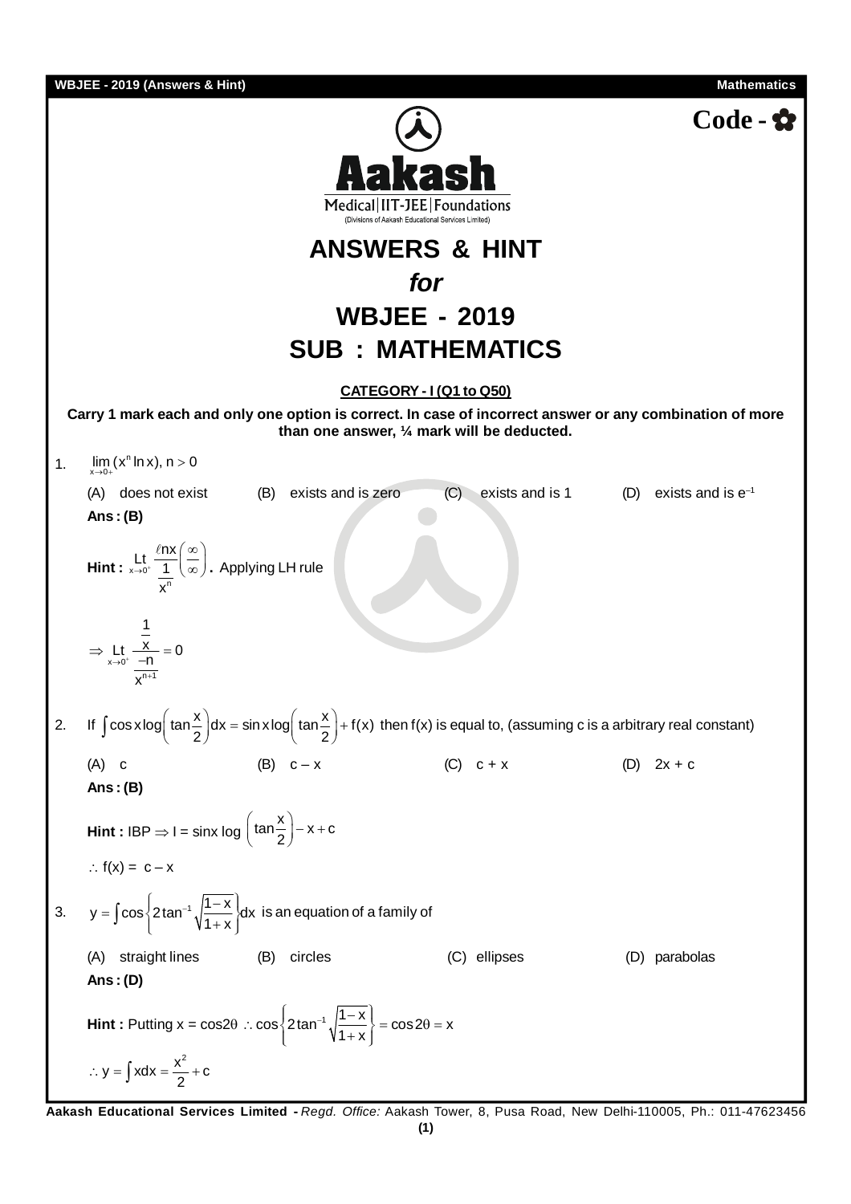**WeylEE-2019 (Answers 21 Hin)  
\nMedically|T1-DEF| Foundations  
\nANSWERS & HINT  
\nfor  
\nWBJEE - 2019  
\nSUB : MATHEMATICS  
\nCarry 1 mark each and only one option is correct. In case of incorrect answer or any combination of more  
\nthan one answer, Y. mark will be deducted.  
\n1. 
$$
\lim_{x \to 0} (x^n \ln x), n > 0
$$
  
\n(A) does not exist (B) exists and is zero (C) exists and is 1 (D) exists and is e<sup>-1</sup>  
\nAns: (B)  
\n  
\nHint:  $\lim_{x \to 0} \frac{x}{x}$   
\n2. If  $\int \cos x \log (\tan \frac{x}{2}) dx = \sin x \log (\tan \frac{x}{2}) + f(x)$  then  $f(x)$  is equal to, (assuming c is a arbitrary real constant)  
\n(A) c  
\nAns: (B)  
\n  
\nHint:  $1BP \Rightarrow 1 = \sin x \log (\tan \frac{x}{2}) - x + c$   
\n $\therefore f(x) = c - x$  (C) c+x (D) 2x+c  
\nAns: (E)  
\n  
\n3.  $y = \int \cos \left[ 2 \tan^{-1} \sqrt{\frac{1-x}{1+x}} \right] dx$  is an equation of a family of  
\n(A) straight lines (B) circles (C) ellipses (D) parabolas  
\nAns: (D)  
\nHint: Putting  $x = \cos 2\theta \therefore \cos \left[ 2 \tan^{-1} \sqrt{\frac{1-x}{1+x}} \right] = \cos 2\theta = x$   
\n $\therefore y = \int x dx = \frac{x^2}{2} + c$**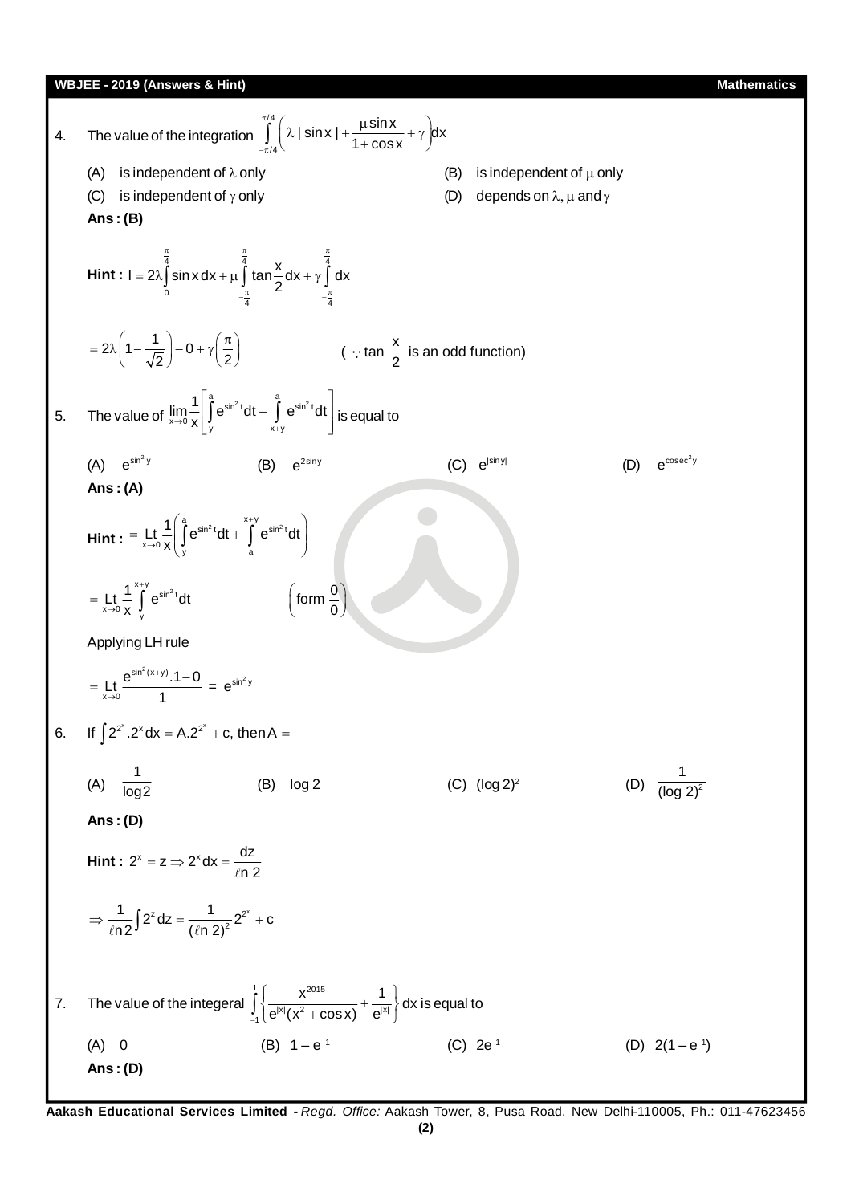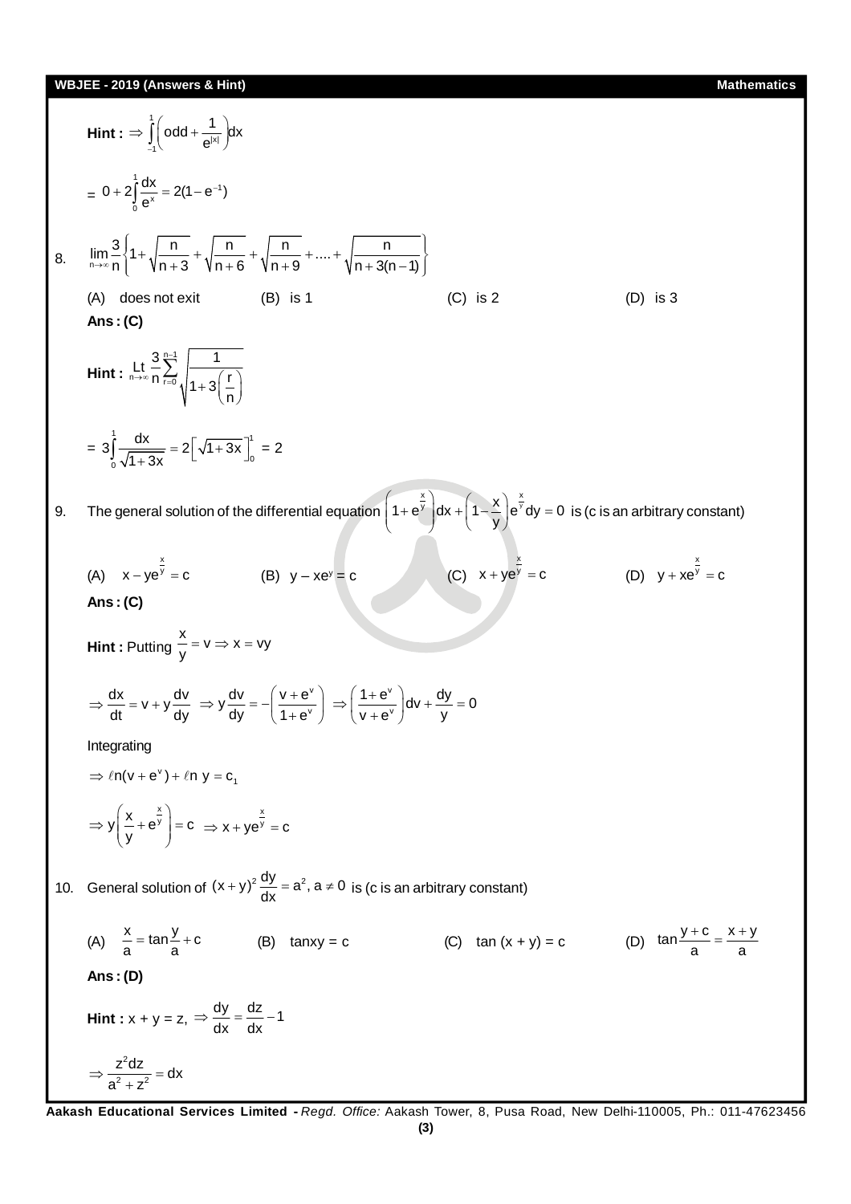Hint: 
$$
\Rightarrow \int_{0}^{1} \left[ \text{odd} + \frac{1}{e^{3x}} \right] dx
$$
  
\n $\Rightarrow 0 + 2 \int_{0}^{1} \frac{dx}{e^x} = 2(1 - e^{-x})$   
\n8.  $\lim_{m \to \infty} \frac{3}{n} \left\{ 1 + \sqrt{\frac{n}{n+3}} + \sqrt{\frac{n}{n+6}} + \sqrt{\frac{n}{n+9}} + \dots + \sqrt{\frac{n}{n+3(n-1)}} \right\}$   
\n(A) does not exist (B) is 1 (C) is 2 (D) is 3  
\n**Ans**: (C)  
\nHint:  $\lim_{n \to \infty} \frac{3}{n} \frac{e^x}{n} \left\{ \frac{1}{1 + 3\left(\frac{n}{n}\right)} \right\}$   
\n $\Rightarrow 3 \int_{0}^{1} \frac{dx}{\sqrt{1 + 3x}} = 2 \left[ \sqrt{1 + 3x} \right]_{0}^{1} = 2$   
\n9. The general solution of the differential equation  $\left( 1 + e^{x^2} \right) dx + \left( 1 - \frac{x^2}{y} \right) e^{x^2} dy = 0$  is (c is an arbitrary constant)  
\n(A)  $x - ye^{\frac{x^2}{2}} = c$  (B)  $y - xe^{x} = c$  (C)  $x + ye^{\frac{x}{2}} = c$  (D)  $y + xe^{\frac{1}{2}} = c$   
\n**Ans**: (C)  
\nHint: Putting  $\frac{x}{y} - v = x - vy$   
\n $\Rightarrow \frac{dx}{dt} = v + y \frac{dy}{dy} \Rightarrow y \frac{dy}{dy} = -\left( \frac{y + e^{x}}{1 + e^{x}} \right) \Rightarrow \left( \frac{1 + e^{x}}{v + e^{x}} \right) dy + \frac{dy}{y} = 0$   
\nIntegrating  
\n $\Rightarrow fn(v + e^{x}) + f n y = c_1$   
\n $\Rightarrow y \left( \frac{x}{y} + e^{\frac{x}{y}} \right) = c \Rightarrow x + ye^{\frac{x}{y}} = c$   
\n10. General solution of  $(x + y)^{\frac{2}{3}} \frac{dy}{dx} = a^2$ ,  $a \ne 0$  is (c is an arbitrary constant)  
\n(A)  $\frac{x}{a} = \tan \frac$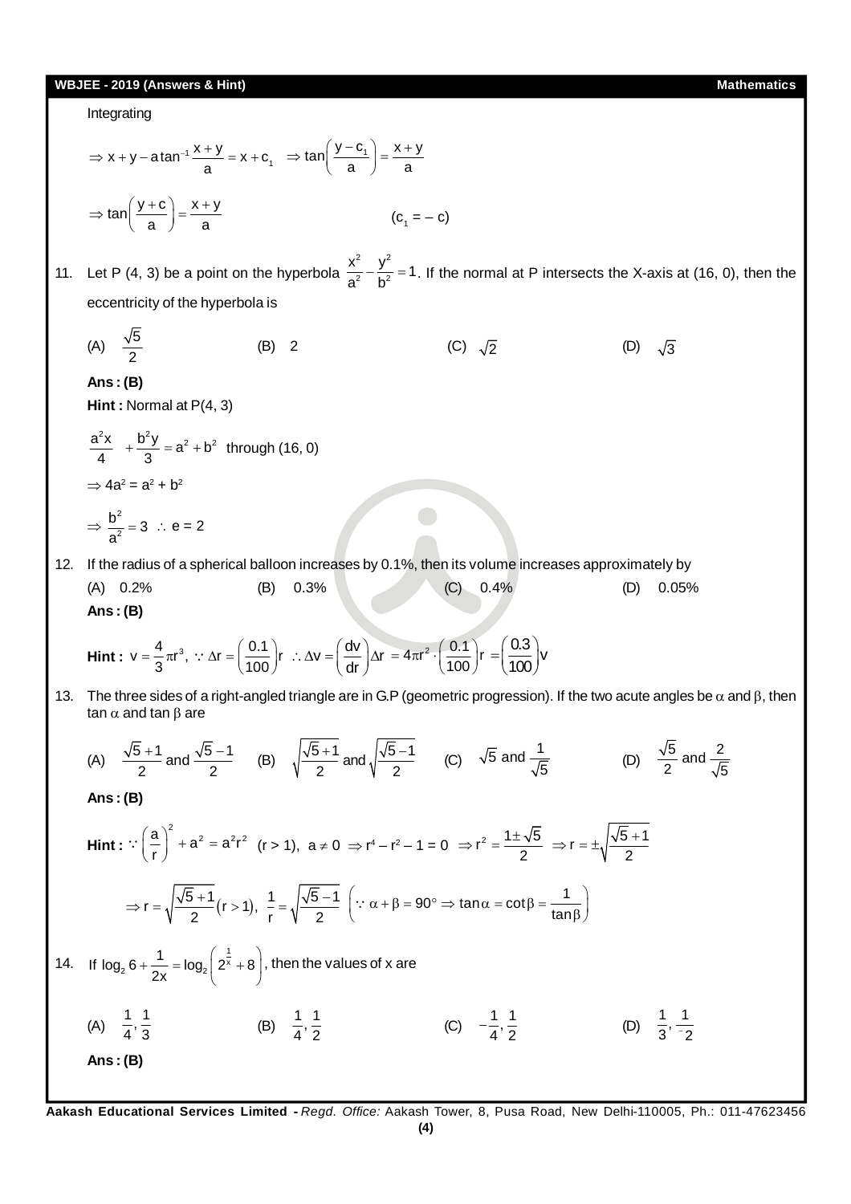# **WBJEE - 2019 (Answers & Hint) Mathematics** Integrating  $x + y - a \tan^{-1} \frac{x + y}{a} = x + c_1$  $\Rightarrow$  x + y - atan<sup>-1</sup>  $\frac{x+y}{a}$  = x + c<sub>1</sub>  $\Rightarrow$  tan $\left(\frac{y-c_1}{a}\right)$  =  $\frac{x+y}{a}$  $\Rightarrow$  tan $\left(\frac{y-c_1}{a}\right) = \frac{x+a}{a}$  $tan\left(\frac{y+c}{a}\right) = \frac{x+y}{a}$  $\Rightarrow$  tan $\left(\frac{y+c}{a}\right) = \frac{x+y}{a}$  (c<sub>1</sub>  $(c_{1} = - c)$ 11. Let P (4, 3) be a point on the hyperbola 2  $\sqrt{2}$  $\frac{x^2}{a^2} - \frac{y^2}{b^2} = 1$ . If the normal at P intersects the X-axis at (16, 0), then the eccentricity of the hyperbola is (A)  $\frac{\sqrt{5}}{2}$ (B) 2 (C)  $\sqrt{2}$  (D)  $\sqrt{3}$ **Ans : (B) Hint :** Normal at P(4, 3)  $\frac{a^2x}{4} + \frac{b^2y}{3} = a^2 + b^2$  through (16, 0)  $\Rightarrow$  4a<sup>2</sup> = a<sup>2</sup> + b<sup>2</sup>  $\Rightarrow$   $\frac{b^2}{2}$ 2  $\frac{b^2}{a^2} = 3$  : e = 2 12. If the radius of a spherical balloon increases by 0.1%, then its volume increases approximately by (A) 0.2% (B) 0.3% (C) 0.4% (D) 0.05% **Ans : (B) Hint :**  $v = \frac{4}{3}\pi r^3$ ,  $\therefore \Delta r = \left(\frac{0.1}{100}\right)r$   $\therefore \Delta v = \left(\frac{dv}{dr}\right)\Delta r$  $\therefore \Delta v = \left(\frac{dv}{dr}\right) \Delta r = 4\pi r^2 \cdot \left(\frac{0.1}{100}\right) r$  $=4\pi r^2 \cdot \left(\frac{0.1}{100}\right)r$  $\frac{0.3}{100}$ v 100  $=\left(\frac{0.3}{100}\right)$ v 13. The three sides of a right-angled triangle are in G.P (geometric progression). If the two acute angles be  $\alpha$  and  $\beta$ , then tan  $\alpha$  and tan  $\beta$  are (A)  $\frac{\sqrt{5}+1}{2}$  and  $\frac{\sqrt{5}-1}{2}$  (B)  $\sqrt{\frac{\sqrt{5}+1}{2}}$  and  $\sqrt{\frac{\sqrt{5}-1}{2}}$  (C)  $\sqrt{5}$  and  $\frac{1}{\sqrt{5}}$ 5 (D)  $\frac{\sqrt{5}}{2}$  and  $\frac{2}{\sqrt{5}}$ 2  $\sqrt{5}$ **Ans : (B) Hint :**   $\left(\frac{a}{2}\right)^2 + a^2 = a^2r^2$ r  $\therefore \left(\frac{a}{r}\right)^2 + a^2 = a^2r^2$  (r > 1),  $a \ne 0 \Rightarrow r^4 - r^2 - 1 = 0 \Rightarrow r^2 = \frac{1 \pm \sqrt{5}}{2}$  $\Rightarrow$  r<sup>2</sup> =  $\frac{1\pm\sqrt{5}}{2}$   $\Rightarrow$  r =  $\pm\sqrt{\frac{\sqrt{5}+1}{2}}$  $\Rightarrow$  r =  $\pm \sqrt{\frac{\sqrt{5} + \sqrt{5}}{2}}$  $r = \sqrt{\frac{5}{2} + 1/2}$  (r > 1),  $\frac{1}{r} = \sqrt{\frac{5}{2} - 1/2}$  $\Rightarrow r = \sqrt{\frac{\sqrt{5}+1}{2}}(r>1), \frac{1}{1} = \sqrt{\frac{\sqrt{5}-1}{2}}$  $\left(\because \alpha + \beta = 90^{\circ} \Rightarrow \tan \alpha = \cot \beta = \frac{1}{\tan \beta}\right)$  $\ddot{\cdot}$ 14. If  $\log_2 6 + \frac{1}{2} = \log_2 \left( 2^{\frac{1}{x}} \right)$  $_{2}$  6 +  $\frac{1}{2}$  = log<sub>2</sub> | 2<sup>x</sup> If  $\log_2 6 + \frac{1}{2x} = \log_2 \left( 2^{\frac{1}{x}} + 8 \right)$  $+\frac{1}{2x}$  = log<sub>2</sub>  $\left(2^{\frac{1}{x}}+8\right)$ , then the values of x are (A)  $\frac{1}{4}, \frac{1}{3}$  (B)  $\frac{1}{4}$ ,  $\frac{1}{8}$  $\frac{1}{4}, \frac{1}{2}$  (C)  $-\frac{1}{4}, \frac{1}{2}$  (D)  $\frac{1}{3}, \frac{1}{2}$ **Ans : (B)**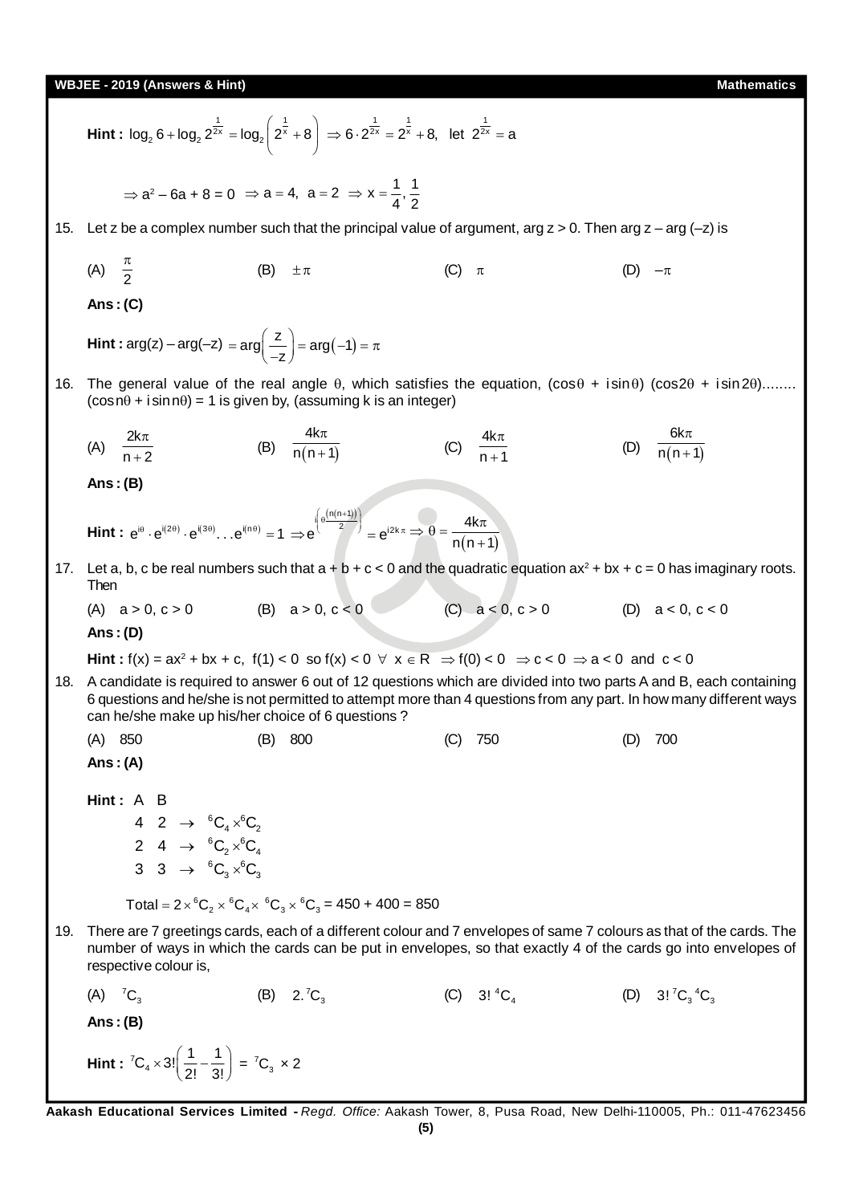**WBJEE - 2019 (Answers & Hint) Mathematics Hint :**  $log_2 6 + log_2 2^{\frac{1}{2x}} = log_2 \left( 2^{\frac{1}{x}} \right)$  $log_2 6 + log_2 2^{\frac{1}{2x}} = log_2 \left( 2^{\frac{1}{x}} + 8 \right)$  $\Rightarrow 6.2^{\frac{1}{2x}} = 2^{\frac{1}{x}} + 8$ , let  $2^{\frac{1}{2x}} = a$ ⇒  $a^2 - 6a + 8 = 0$  ⇒  $a = 4$ ,  $a = 2$  ⇒  $x = \frac{1}{4}, \frac{1}{2}$ 15. Let z be a complex number such that the principal value of argument, arg  $z > 0$ . Then arg  $z - \text{arg }(-z)$  is (A)  $\frac{\pi}{2}$ (B)  $\pm \pi$  (C)  $\pi$  (D)  $-\pi$ **Ans : (C) Hint :**  $\arg(z) - \arg(-z) = \arg\left(\frac{z}{-z}\right) = \arg(-1)$  $=arg\left(\frac{z}{-z}\right)=arg(-1)=\pi$ 16. The general value of the real angle  $\theta$ , which satisfies the equation, (cos $\theta$  + isin $\theta$ ) (cos $2\theta$  + isin $2\theta$ )........  $(cos<sub>0</sub> + isin<sub>0</sub>) = 1$  is given by, (assuming k is an integer)  $(A) \quad \frac{2k}{\pi}$  $n + 2$  $\pi$  $\ddot{}$ (B)  $\frac{1}{n(n+1)}$ 4k  $n(n+1)$ π  $^{+}$  $(C) \frac{4k}{2}$  $n + 1$  $\pi$  $^{+}$ (D)  $\frac{1}{n(n+1)}$ 6k  $n(n+1)$ π  $^{+}$ **Ans : (B) Hint :**  $e^{i\theta} \cdot e^{i(2\theta)} \cdot e^{i(3\theta)} \dots e^{i(n\theta)} = 1$  $e^{\int_{0}^{1} \left(\theta \frac{(n(n+1))}{2}\right)}$  $\Rightarrow e^{\left(e^{\frac{(n(n+1))}{2}}\right)} = e^{i2k\pi} \Rightarrow \theta = \frac{4k\pi}{n(n+1)}$ 4k  $\Rightarrow \theta = \frac{4k\pi}{n(n+1)}$ 17. Let a, b, c be real numbers such that  $a + b + c < 0$  and the quadratic equation  $ax^2 + bx + c = 0$  has imaginary roots. Then (A)  $a > 0, c > 0$  (B)  $a > 0, c < 0$  (C)  $a < 0, c > 0$  (D)  $a < 0, c < 0$ **Ans : (D) Hint :**  $f(x) = ax^2 + bx + c$ ,  $f(1) < 0$  so  $f(x) < 0 \forall x \in R \implies f(0) < 0 \implies c < 0 \implies a < 0$  and  $c < 0$ 18. A candidate is required to answer 6 out of 12 questions which are divided into two parts A and B, each containing 6 questions and he/she is not permitted to attempt more than 4 questions from any part. In how many different ways can he/she make up his/her choice of 6 questions ? (A) 850 (B) 800 (C) 750 (D) 700 **Ans : (A) Hint :**  A B 4 2  $\rightarrow$   ${}^6C_4\times {}^6C_5$  $_4 \wedge \bullet_2$ 2 4  $\rightarrow$   ${}^6C_2 \times {}^6C_4$ 3 3  $\rightarrow$   ${}^6C_3 \times {}^6C_3$ Total =  $2 \times {}^{6}C_2 \times {}^{6}C_4 \times {}^{6}C_3 \times {}^{6}C_3 = 450 + 400 = 850$ 19. There are 7 greetings cards, each of a different colour and 7 envelopes of same 7 colours as that of the cards. The number of ways in which the cards can be put in envelopes, so that exactly 4 of the cards go into envelopes of respective colour is,  $(A) \quad {}^{7}C_{3}$ (B)  $2.^{7}C_3$ (C)  $3! {}^4C_4$ (D)  $3! {^7C_2} {^4C_3}$ **Ans : (B) Hint :**  ${}^{7}C_{4} \times 3! \left(\frac{1}{2!} - \frac{1}{3!}\right)$  $\times 3! \left( \frac{1}{2!} - \frac{1}{3!} \right) = {}^{7}C_{3} \times 2$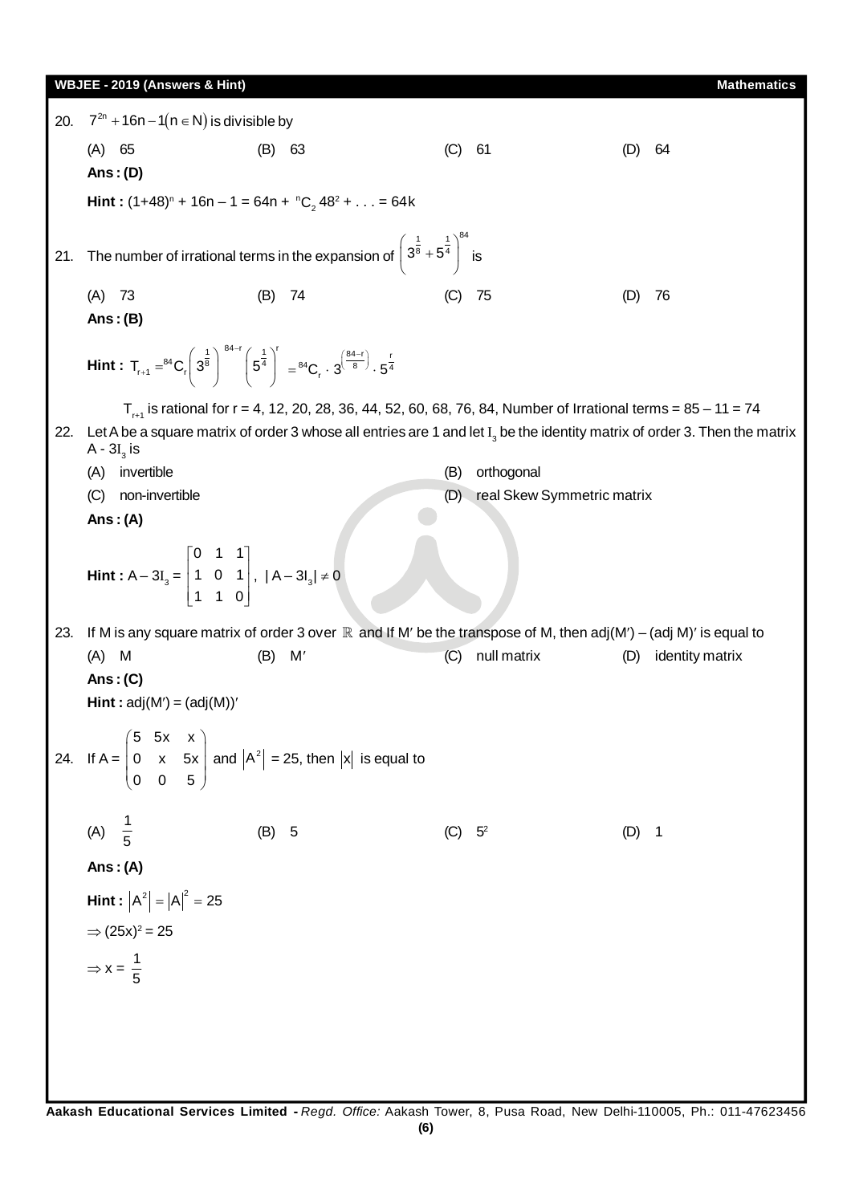**WBJEE - 2019 (Answers & Hint) Mathematics Mathematics Mathematics Mathematics** 20.  $7^{2n}$  +16n  $-1(n \in N)$  is divisible by (A) 65 (B) 63 (C) 61 (D) 64 **Ans : (D) Hint**:  $(1+48)^n + 16n - 1 = 64n + {}^nC_2 48^2 + ... = 64k$ 21. The number of irrational terms in the expansion of 1 1  $1^{84}$  $\left(3^{\frac{1}{8}}+5^{\frac{1}{4}}\right)^{3}$  $\begin{pmatrix}3^{\circ}+5^{\circ}\end{pmatrix}$  is (A) 73 (B) 74 (C) 75 (D) 76 **Ans : (B) Hint :**   $T_{r+1} = ^{84}C_r \left(3^{\frac{1}{8}}\right)^{84-r} \left(5^{\frac{1}{4}}\right)^{r}$ i,  $\ddot{}$  $= {}^{84}C_r \left(3^{\frac{1}{8}}\right)^{3^{1/2}} \left(5^{\frac{1}{4}}\right) = {}^{84}C_r \cdot 3^{\left(\frac{84-r}{8}\right)} \cdot 5^{\frac{r}{4}}$  $T_{r+1}$  is rational for r = 4, 12, 20, 28, 36, 44, 52, 60, 68, 76, 84, Number of Irrational terms = 85 – 11 = 74 22. Let A be a square matrix of order 3 whose all entries are 1 and let  $\mathrm{I}_{_3}$  be the identity matrix of order 3. Then the matrix A -  $\mathrm{3I}_{_{\mathrm{3}}}$  is (A) invertible (B) orthogonal (C) non-invertible (D) real Skew Symmetric matrix **Ans : (A) Hint** :  $A - 3I_3 =$ 0 1 1 1 0 1 1 1 0  $\begin{vmatrix} 0 & 1 & 1 \end{vmatrix}$  $\begin{vmatrix} 1 & 0 & 1 \end{vmatrix}$  $\begin{bmatrix} 1 & 1 & 0 \end{bmatrix}$ ,  $|A - 3I_3| \neq 0$ 23. If M is any square matrix of order 3 over  $\R$  and If M' be the transpose of M, then adj(M') – (adj M)' is equal to (A) M (B) M' (C) null matrix (D) identity matrix **Ans : (C)**  $Hint: adj(M') = (adj(M))'$ 24. If  $A =$ 5 5x x 0 x 5x 0 0 5  $\begin{pmatrix} 5 & 5x & x \\ 0 & x & 5x \end{pmatrix}$  $\begin{vmatrix} 0 & x & 5x \\ 0 & 0 & 5 \end{vmatrix}$  and  $\begin{vmatrix} A^2 \\ 2 \end{vmatrix} = 25$ , then  $|x|$  is equal to (A)  $\frac{1}{5}$ 5 (B) 5 (C)  $5^2$ (D) 1

**Ans : (A)**

$$
Hint: |A2| = |A|2 = 25
$$

$$
\Rightarrow (25x)^{2} = 25
$$

$$
\Rightarrow x = \frac{1}{5}
$$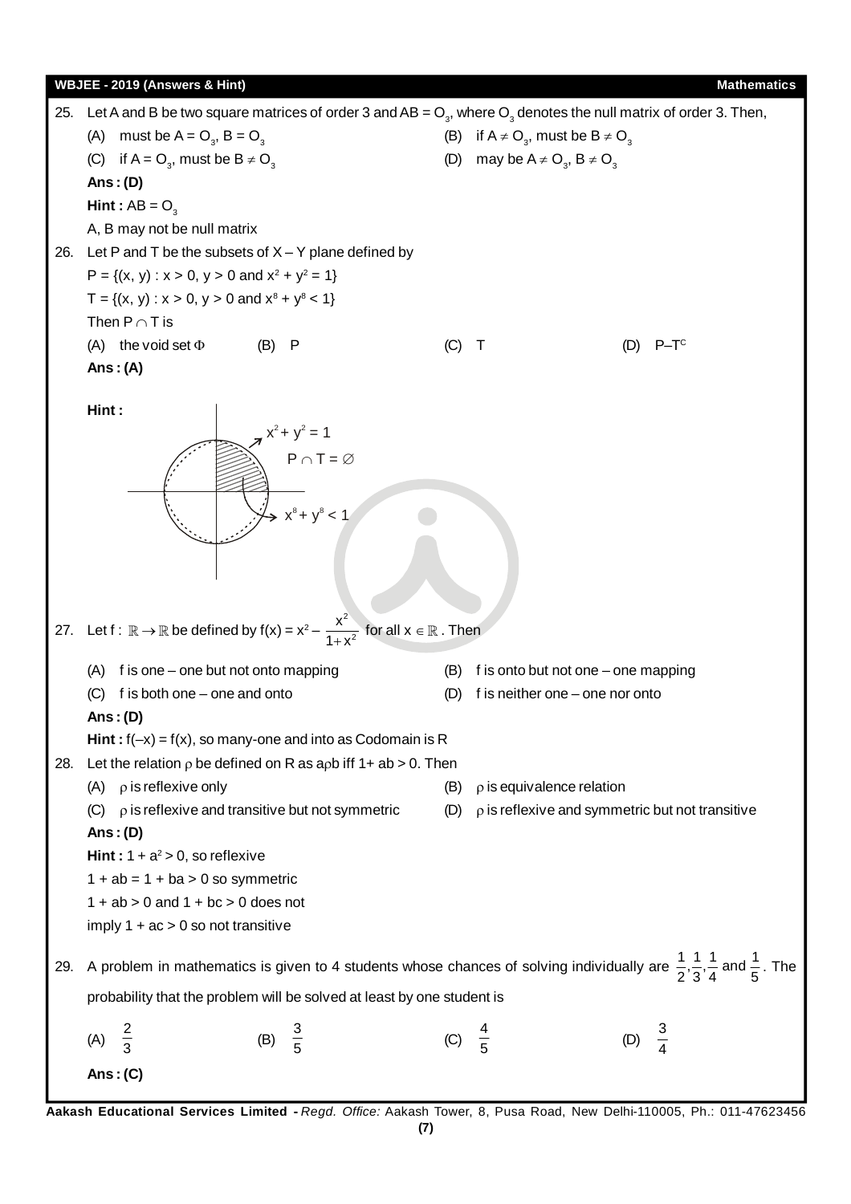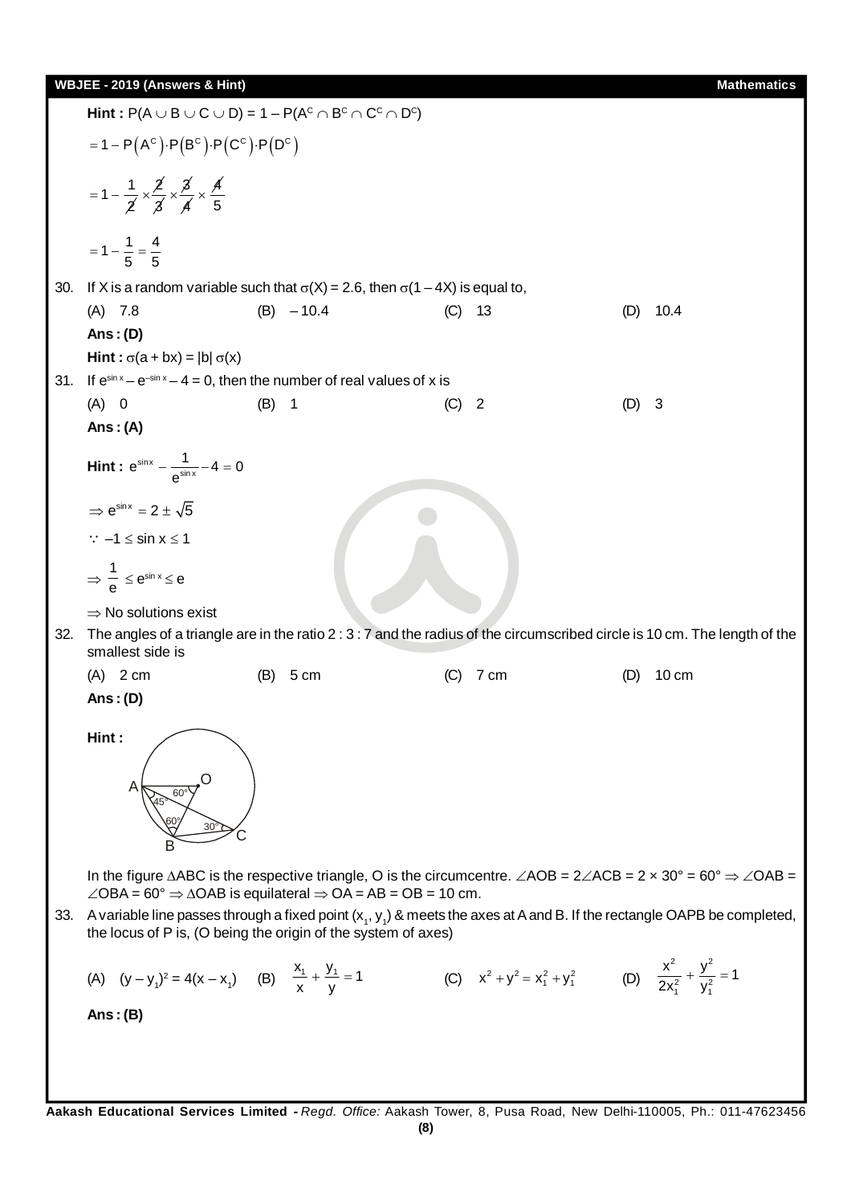$\mathsf{Hint} : \mathsf{P}(\mathsf{A} \cup \mathsf{B} \cup \mathsf{C} \cup \mathsf{D}) = \mathsf{1} - \mathsf{P}(\mathsf{A}^\mathsf{C} \cap \mathsf{B}^\mathsf{C} \cap \mathsf{C}^\mathsf{C} \cap \mathsf{D}^\mathsf{C})$  $=1-P(A^C)\cdot P(B^C)\cdot P(C^C)\cdot P(D^C)$  $1 - \frac{1}{2}$ 2  $=1-\frac{1}{\leq x}\times\frac{2}{\leq x}$ 3  $\times \frac{3}{4}$ 4  $\times \frac{A}{5}$  $= 1 - \frac{1}{5} = \frac{4}{5}$ 30. If X is a random variable such that  $\sigma(X) = 2.6$ , then  $\sigma(1 - 4X)$  is equal to, (A) 7.8 (B) – 10.4 (C) 13 (D) 10.4 **Ans : (D) Hint :**  $\sigma(a + bx) = |b| \sigma(x)$ 31. If  $e^{\sin x} - e^{-\sin x} - 4 = 0$ , then the number of real values of x is (A) 0 (B) 1 (C) 2 (D) 3 **Ans : (A) Hint :**  $e^{\sin x} - \frac{1}{e^{\sin x}}$  $e^{\sin x} - \frac{1}{e^{\sin x}} - 4 = 0$  $\Rightarrow$  e<sup>sin x</sup> = 2 ±  $\sqrt{5}$  $\therefore$  –1  $\le$  sin  $x \le 1$  $\Rightarrow \frac{1}{6}$  $\frac{\text{I}}{\text{e}} \leq e^{\sin x} \leq e$  $\Rightarrow$  No solutions exist 32. The angles of a triangle are in the ratio 2 : 3 : 7 and the radius of the circumscribed circle is 10 cm. The length of the smallest side is (A) 2 cm (B) 5 cm (C) 7 cm (D) 10 cm **Ans : (D) Hint :**  O C B  $A \searrow$  60° 45°  $60^{\circ}$  30 $^{\circ}$ In the figure  $\triangle ABC$  is the respective triangle, O is the circumcentre.  $\angle AOB = 2 \angle ACB = 2 \times 30^\circ = 60^\circ \Rightarrow \angle OAB =$  $\angle$ OBA = 60°  $\Rightarrow$   $\triangle$ OAB is equilateral  $\Rightarrow$  OA = AB = OB = 10 cm. 33. Avariable line passes through a fixed point (x<sub>1</sub>, y<sub>1</sub>) & meets the axes at A and B. If the rectangle OAPB be completed, the locus of P is, (O being the origin of the system of axes) (A)  $(y - y_1)^2 = 4(x - x_1)$  (B)  $\frac{x_1}{x} + \frac{y_1}{y} = 1$  (C)  $x^2 + y^2 = x_1^2 + y_1^2$  (D) 2  $\sqrt{2}$  $\frac{2}{1}$   $y_1^2$  $rac{x^2}{2x_1^2} + \frac{y^2}{y_1^2} = 1$ **Ans : (B)**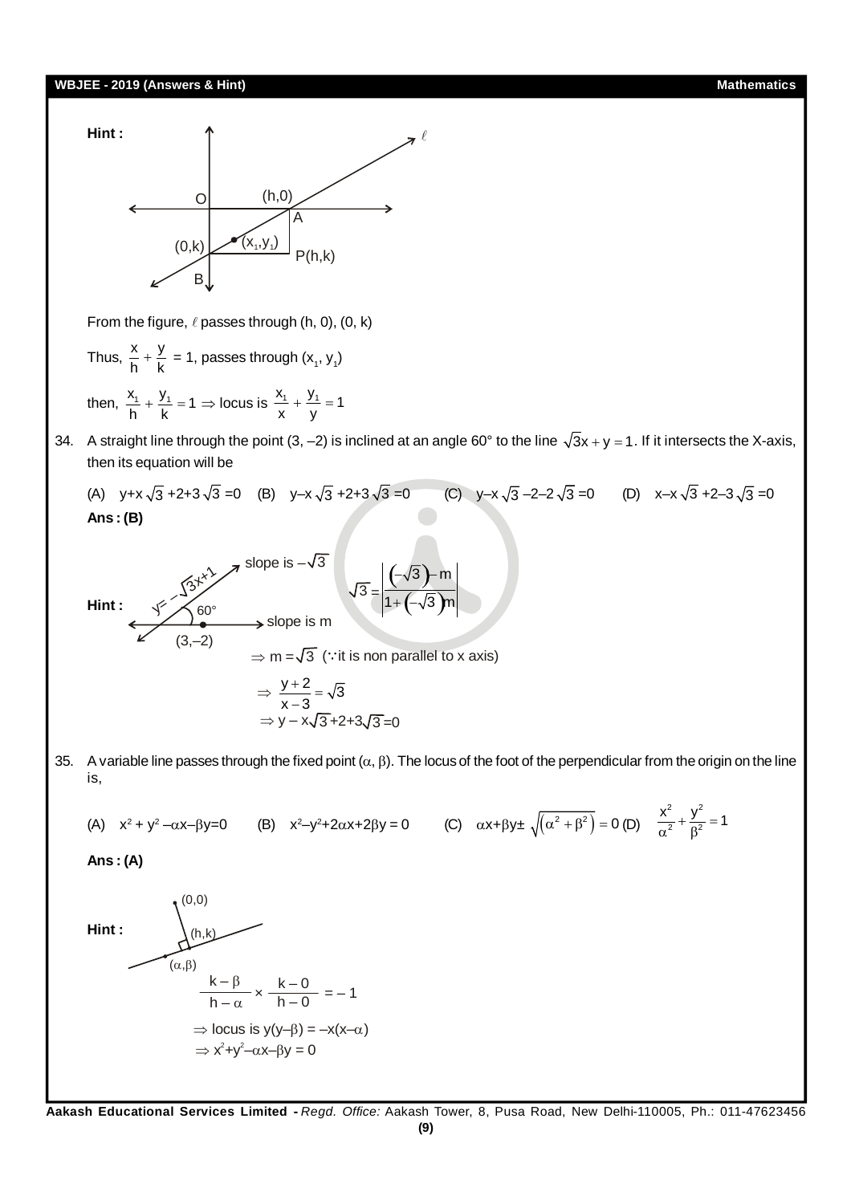

From the figure,  $\ell$  passes through (h, 0), (0, k)

Thus, 
$$
\frac{x}{h} + \frac{y}{k} = 1
$$
, passes through  $(x_1, y_1)$ 

then,  $\frac{x_1}{h} + \frac{y_1}{k} = 1 \Rightarrow$  locus is  $\frac{x_1}{x} + \frac{y_1}{y} = 1$ 

34. A straight line through the point  $(3, -2)$  is inclined at an angle 60° to the line  $\sqrt{3}x + y = 1$ . If it intersects the X-axis, then its equation will be

(A)  $y+x\sqrt{3}$  +2+3 $\sqrt{3}$  =0 (B)  $y-x\sqrt{3}$  +2+3 $\sqrt{3}$  =0 (C)  $y-x\sqrt{3}$  -2-2 $\sqrt{3}$  =0 (D)  $x-x\sqrt{3}$  +2-3 $\sqrt{3}$  =0 **Ans : (B)**

Hint:  
\n
$$
\begin{array}{ccc}\n\sqrt{3}x^2 & \text{slope is } -\sqrt{3} \\
\sqrt{3} = \frac{(-\sqrt{3})-m}{1+(-\sqrt{3})m} \\
\end{array}
$$
\n= m =  $\sqrt{3}$  ( $\because$  it is non parallel to x axis)  
\n
$$
\Rightarrow \frac{y+2}{x-3} = \sqrt{3}
$$
\n
$$
\Rightarrow y - x\sqrt{3}+2+3\sqrt{3}=0
$$

35. A variable line passes through the fixed point  $(\alpha, \beta)$ . The locus of the foot of the perpendicular from the origin on the line is,

(A) 
$$
x^2 + y^2 - \alpha x - \beta y = 0
$$
 (B)  $x^2 - y^2 + 2\alpha x + 2\beta y = 0$  (C)  $\alpha x + \beta y \pm \sqrt{(\alpha^2 + \beta^2)} = 0$  (D)  $\frac{x^2}{\alpha^2} + \frac{y^2}{\beta^2} = 1$ 

**Ans : (A)**

Hint :   
\n
$$
(α, β)
$$
\n
$$
(α, β)
$$
\n
$$
k - β
$$
\n
$$
k - β
$$
\n
$$
h - α
$$
\n⇒ locus is y(y-β) = -x(x-α)  
\n⇒ x<sup>2</sup>+y<sup>2</sup>-αx-βy = 0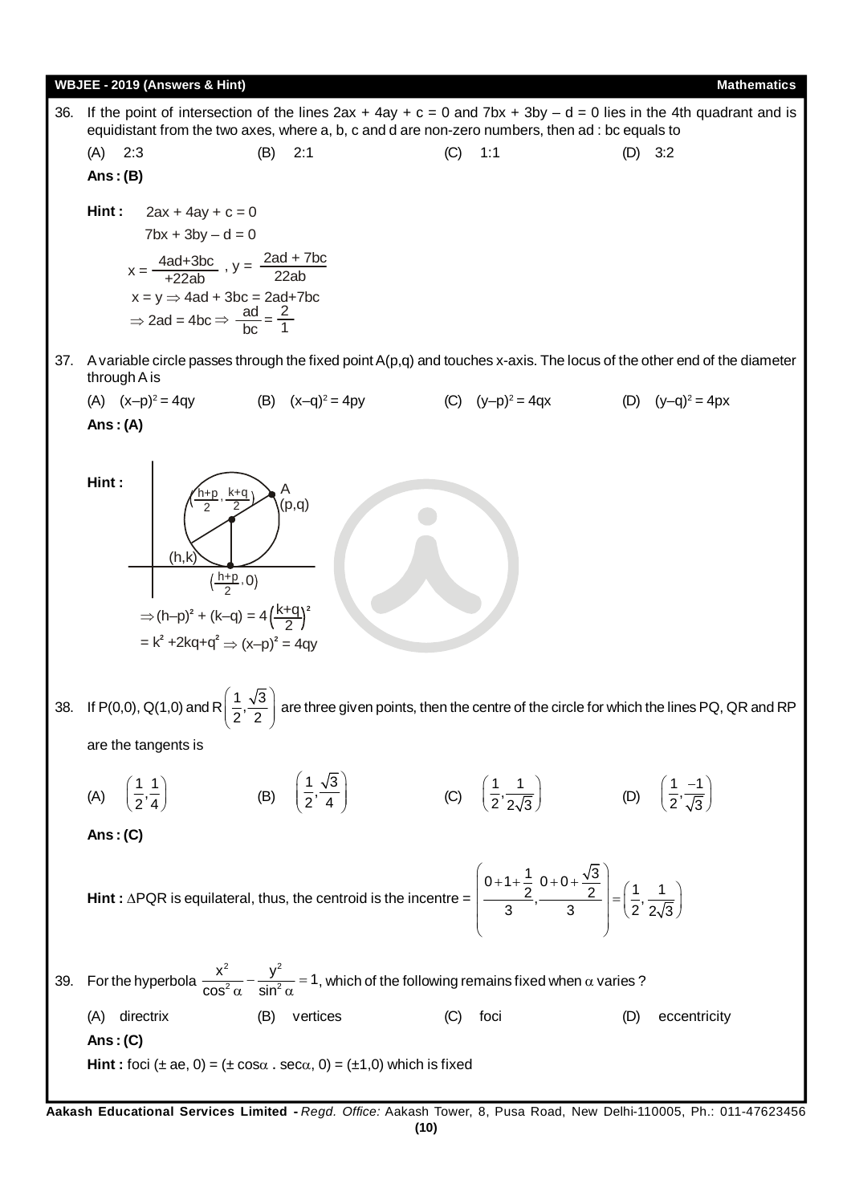

**Aakash Educational Services Limited -** *Regd. Office:* Aakash Tower, 8, Pusa Road, New Delhi-110005, Ph.: 011-47623456 **(10)**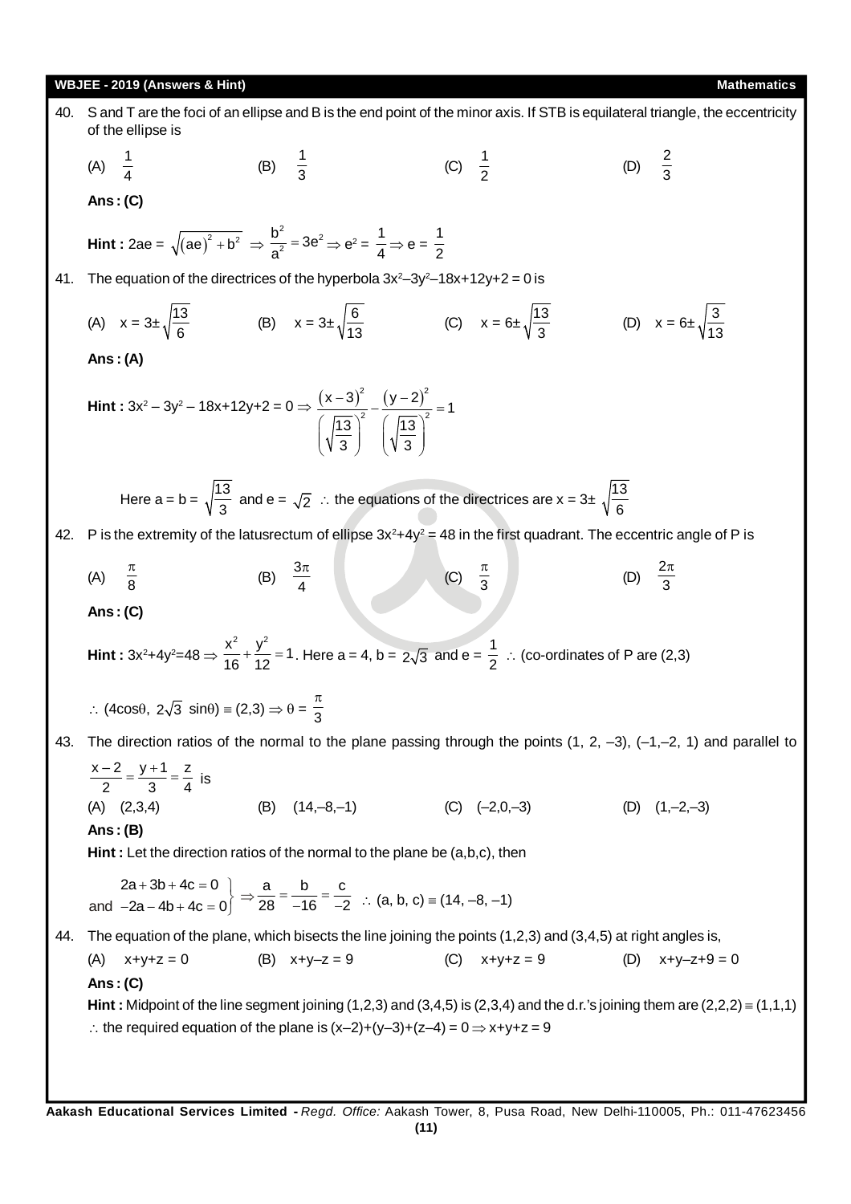40. **5** and T are the foci of an ellipse and B is the end point of the minor axis. If STB is equilateral triangle, the eccentricity of the line 5 is  
\n(A) 
$$
\frac{1}{4}
$$
 (B)  $\frac{1}{3}$  (C)  $\frac{1}{2}$  (D)  $\frac{2}{3}$   
\n**Ans** : (C)  
\nHint:  $2ae = \sqrt{ae^3 + b^2} = \frac{b^3}{a^2} - 3e^2 \Rightarrow e^2 = \frac{1}{4} \Rightarrow e = \frac{1}{2}$   
\n41. The equation of the directrices of the hyperbola 3x<sup>2</sup>-3y<sup>2</sup>-18x+12y+2 = 0 is  
\n(A)  $x = 3x\sqrt{\frac{13}{6}}$  (B)  $x = 3x\sqrt{\frac{6}{13}}$  (C)  $x = 6x\sqrt{\frac{13}{3}}$  (D)  $x = 6x\sqrt{\frac{3}{13}}$   
\nAns: (A)  
\nHint:  $3x^2 - 3y^2 - 18x + 12y + 2 = 0 \Rightarrow \frac{(x-3)^2}{(x-3)^2} - \frac{(y-2)^2}{(y-3)^2} = 1$   
\nHere  $a = b = \sqrt{\frac{13}{3}}$  and  $a = \sqrt{2}$ .  $\therefore$  the equations of the directrices are  $x = 3x\sqrt{\frac{13}{6}}$   
\n42. P is the extremity of the lastseccut and of lipsse  $3x^2 + 4y^2 = 48$  in the first quadrant. The eccentric angle of P is  
\n(A)  $\frac{\pi}{8}$  (B)  $\frac{3\pi}{4}$  (C)  $\frac{\pi}{3}$  (D)  $\frac{2\pi}{3}$   
\nAns: (C)  
\nHint:  $3x^2 + 4y^2 = 48 \Rightarrow \frac{x^2}{16} + \frac{y^2}{12} = 1$ . Here  $a = 4$ ,  $b = 2\sqrt{3}$  and  $e = \frac{1}{2}$ .  $\therefore$  coordinates of P are (2,3)  
\n $\therefore$  (4 cos 0,  $2\sqrt{3}$  sin 0) = (2,3)  $\Rightarrow$   $\theta = \frac{\pi}{3}$   
\n43.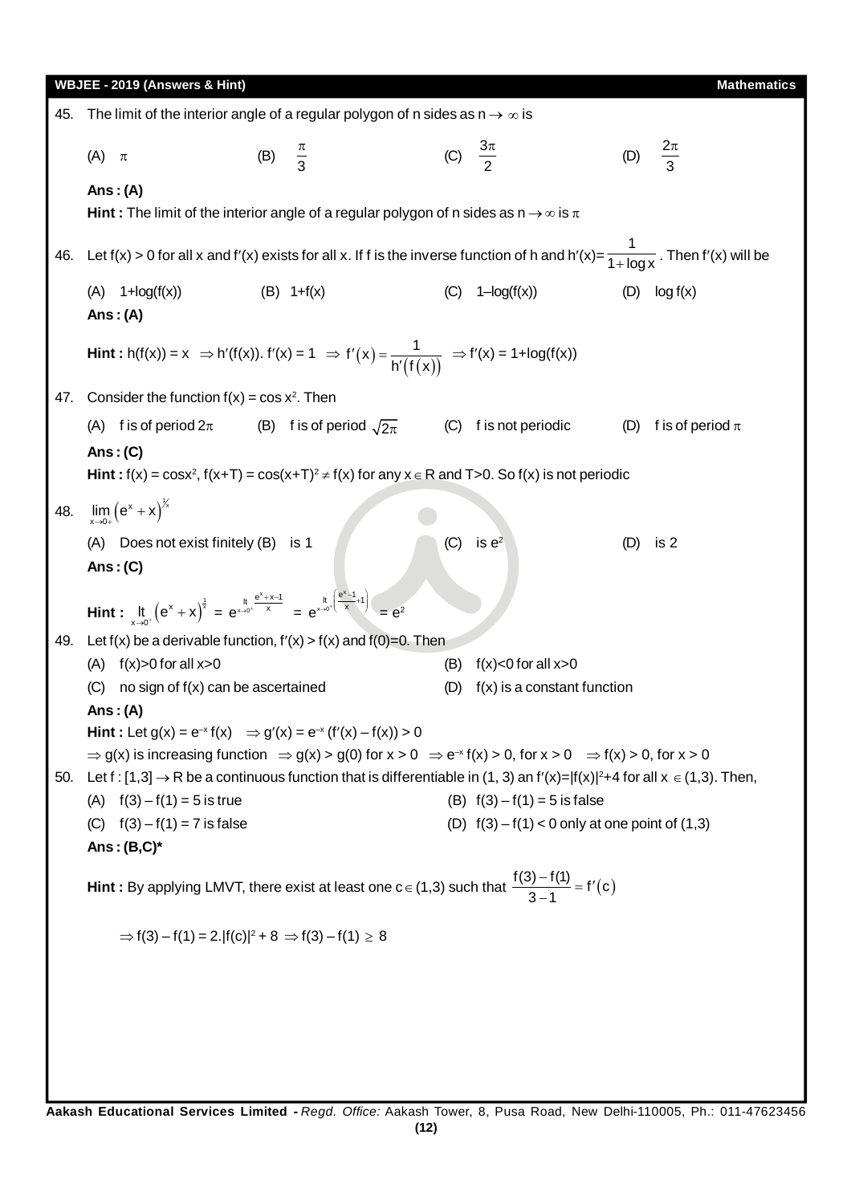|     | WBJEE - 2019 (Answers & Hint)                                                                                                                                                                                                                                                                                                |                     |                                                        |                      |                                                             |     | <b>Mathematics</b>       |
|-----|------------------------------------------------------------------------------------------------------------------------------------------------------------------------------------------------------------------------------------------------------------------------------------------------------------------------------|---------------------|--------------------------------------------------------|----------------------|-------------------------------------------------------------|-----|--------------------------|
| 45. | The limit of the interior angle of a regular polygon of n sides as $n \rightarrow \infty$ is                                                                                                                                                                                                                                 |                     |                                                        |                      |                                                             |     |                          |
|     | $(A)$ $\pi$                                                                                                                                                                                                                                                                                                                  | (B) $\frac{\pi}{3}$ |                                                        | (C) $\frac{3\pi}{2}$ |                                                             | (D) | $rac{2\pi}{3}$           |
|     | Ans: $(A)$<br><b>Hint</b> : The limit of the interior angle of a regular polygon of n sides as $n \rightarrow \infty$ is $\pi$                                                                                                                                                                                               |                     |                                                        |                      |                                                             |     |                          |
|     | Let f(x) > 0 for all x and f'(x) exists for all x. If f is the inverse function of h and h'(x)= $\frac{1}{1+\log x}$ . Then f'(x) will be                                                                                                                                                                                    |                     |                                                        |                      |                                                             |     |                          |
| 46. |                                                                                                                                                                                                                                                                                                                              |                     |                                                        |                      |                                                             |     |                          |
|     | $(A)$ 1+ $log(f(x))$<br>Ans: $(A)$                                                                                                                                                                                                                                                                                           | $(B) 1+f(x)$        |                                                        | (C)                  | $1-\log(f(x))$                                              |     | $(D)$ $log f(x)$         |
|     | <b>Hint</b> : h(f(x)) = x ⇒ h'(f(x)). f'(x) = 1 ⇒ f'(x) = $\frac{1}{h'(f(x))}$ ⇒ f'(x) = 1+log(f(x))                                                                                                                                                                                                                         |                     |                                                        |                      |                                                             |     |                          |
| 47. | Consider the function $f(x) = \cos x^2$ . Then                                                                                                                                                                                                                                                                               |                     |                                                        |                      |                                                             |     |                          |
|     | (A) f is of period $2\pi$                                                                                                                                                                                                                                                                                                    |                     | (B) f is of period $\sqrt{2\pi}$ (C) f is not periodic |                      |                                                             |     | (D) f is of period $\pi$ |
|     | Ans: $(C)$                                                                                                                                                                                                                                                                                                                   |                     |                                                        |                      |                                                             |     |                          |
|     | Hint: $f(x) = \cos x^2$ , $f(x+T) = \cos(x+T)^2 \neq f(x)$ for any $x \in R$ and T > 0. So $f(x)$ is not periodic                                                                                                                                                                                                            |                     |                                                        |                      |                                                             |     |                          |
| 48. | $\lim_{x\to 0+}\left(e^x+x\right)^{1/x}$                                                                                                                                                                                                                                                                                     |                     |                                                        |                      |                                                             |     |                          |
|     | (A) Does not exist finitely (B) is 1<br>Ans: $(C)$                                                                                                                                                                                                                                                                           |                     |                                                        | (C)                  | is $e^2$                                                    | (D) | is 2                     |
|     | Hint : $\int_{x\to 0^+} (e^x + x)^{\frac{1}{x}} = e^{x\to 0^+} \frac{e^x + x - 1}{x} = e^{x\to 0^+} \frac{e^x - 1}{e^x + 1} = e^2$                                                                                                                                                                                           |                     |                                                        |                      |                                                             |     |                          |
|     | 49. Let $f(x)$ be a derivable function, $f'(x) > f(x)$ and $f(0)=0$ . Then                                                                                                                                                                                                                                                   |                     |                                                        |                      |                                                             |     |                          |
|     | (A) $f(x) > 0$ for all $x > 0$<br>no sign of f(x) can be ascertained<br>(C)                                                                                                                                                                                                                                                  |                     |                                                        | (B)<br>(D)           | $f(x) < 0$ for all $x > 0$<br>$f(x)$ is a constant function |     |                          |
|     | Ans: $(A)$                                                                                                                                                                                                                                                                                                                   |                     |                                                        |                      |                                                             |     |                          |
|     | Hint: Let $g(x) = e^{-x} f(x)$ $\Rightarrow$ $g'(x) = e^{-x} (f'(x) - f(x)) > 0$                                                                                                                                                                                                                                             |                     |                                                        |                      |                                                             |     |                          |
|     | $\Rightarrow$ g(x) is increasing function $\Rightarrow$ g(x) > g(0) for x > 0 $\Rightarrow$ e <sup>-x</sup> f(x) > 0, for x > 0 $\Rightarrow$ f(x) > 0, for x > 0<br>50. Let f: [1,3] $\rightarrow$ R be a continuous function that is differentiable in (1, 3) an f'(x)= f(x)  <sup>2</sup> +4 for all x $\in$ (1,3). Then, |                     |                                                        |                      |                                                             |     |                          |
|     | (A) $f(3) - f(1) = 5$ is true                                                                                                                                                                                                                                                                                                |                     |                                                        |                      | (B) $f(3) - f(1) = 5$ is false                              |     |                          |
|     | (C) $f(3) - f(1) = 7$ is false                                                                                                                                                                                                                                                                                               |                     |                                                        |                      | (D) $f(3) - f(1) < 0$ only at one point of $(1,3)$          |     |                          |
|     | Ans: $(B,C)^*$                                                                                                                                                                                                                                                                                                               |                     |                                                        |                      |                                                             |     |                          |
|     | <b>Hint</b> : By applying LMVT, there exist at least one $c \in (1,3)$ such that $\frac{f(3)-f(1)}{3-1} = f'(c)$                                                                                                                                                                                                             |                     |                                                        |                      |                                                             |     |                          |
|     | $\Rightarrow$ f(3) – f(1) = 2.  f(c)  <sup>2</sup> + 8 $\Rightarrow$ f(3) – f(1) $\geq$ 8                                                                                                                                                                                                                                    |                     |                                                        |                      |                                                             |     |                          |
|     |                                                                                                                                                                                                                                                                                                                              |                     |                                                        |                      |                                                             |     |                          |
|     |                                                                                                                                                                                                                                                                                                                              |                     |                                                        |                      |                                                             |     |                          |
|     |                                                                                                                                                                                                                                                                                                                              |                     |                                                        |                      |                                                             |     |                          |
|     |                                                                                                                                                                                                                                                                                                                              |                     |                                                        |                      |                                                             |     |                          |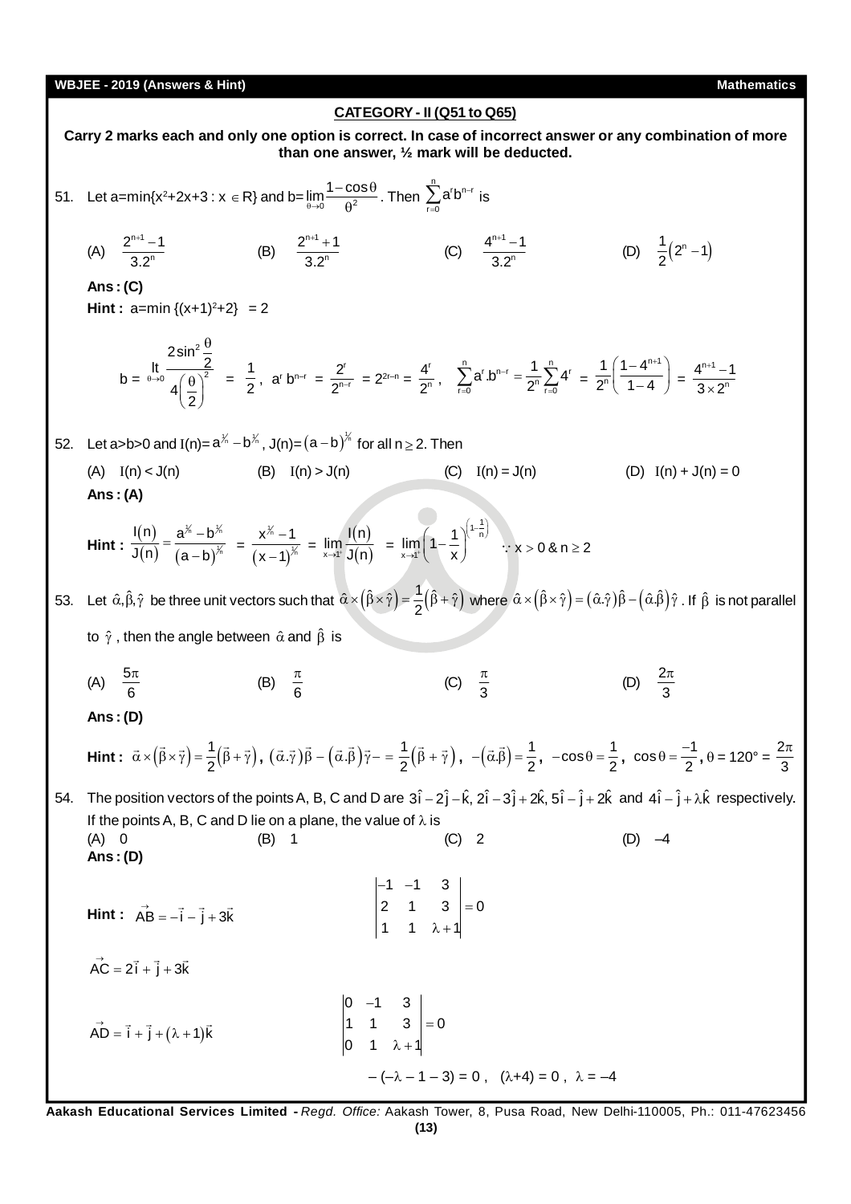# **CATEGORY - II (Q51 to Q65)**

**Carry 2 marks each and only one option is correct. In case of incorrect answer or any combination of more than one answer, ½ mark will be deducted.** 51. Let a=min{x<sup>2</sup>+2x+3 : x ∈ R} and b=  $\lim_{\theta \to 0} \frac{1 - \cos \theta}{\theta^2}$ .  $\frac{3288}{\theta^2}$ . Then  $\sum_{n=1}^{n} c_n$ r=0  $a^rb^{n-}$  $\sum_{\mathsf{r} = 0} \mathsf{a}^\mathsf{r} \mathsf{b}^{\mathsf{n} - \mathsf{r}}$  is (A)  $\frac{2^{n+1}}{2}$ n  $2^{n+1} - 1$ 3.2  $+1$  – (B)  $\frac{2^{n+1}}{2}$ n  $2^{n+1} + 1$ 3.2  $+1$  + (C)  $\frac{4^{n+1}}{26}$ n  $4^{n+1} - 1$ 3.2  $+1$  – (D)  $\frac{1}{2}(2^{n}-1)$ **Ans : (C) Hint :**  $a=min\{(x+1)^2+2\} = 2$  $b =$ 2 0  $(A)^2$  $\begin{array}{r} \n\text{2} \sin^2 \frac{9}{2} \\
\text{It} \end{array}$  $4\frac{8}{2}$  $\theta \rightarrow$  $\theta$  $(\theta)^2$  $\left(\frac{1}{2}\right)$  $=\frac{1}{2}$  $\frac{1}{2}$ , a<sup>r</sup> b<sup>n-r</sup> =  $\frac{2^{r}}{2^{n-r}}$ n-r 2  $\frac{2^{r}}{2^{n-r}}$  =  $2^{2r-n}$  =  $\frac{4^{r}}{2^{r}}$ n 4  $\frac{1}{2^n}$ ,  $\sum_{r=0}^{n} a^{r} b^{n-r} = \frac{1}{2^{n}} \sum_{r=0}^{n} 4^{r}$  $a^{r}.b^{n-r} = \frac{1}{2^n}\sum_{r=0}^{n} 4^r$ - $\sum_{r=0}^{n} a^{r} b^{n-r} = \frac{1}{2^{n}} \sum_{r=0}^{n} 4^{r} = \frac{1}{2^{n}} \left( \frac{1 - 4^{n+1}}{1 - 4} \right)$ n 1  $(1 - 4$ <sup>r</sup>  $2^n($  1 - 4  $(1-4^{n+1})$  $\left(\frac{1-4^{n+1}}{1-4}\right)=\frac{4^{n+1}}{3\times}$ n  $4^{n+1} - 1$  $3\times 2^{r}$  $^{+1}$   $\times$ 52. Let a>b>0 and I(n)=  $a^{\frac{1}{n}} - b^{\frac{1}{n}}$ , J(n)= $(a - b)^{\frac{1}{n}}$  for all n  $\geq$  2. Then (A)  $I(n) < J(n)$  (B)  $I(n) > J(n)$  (C)  $I(n) = J(n)$  (D)  $I(n) + J(n) = 0$ **Ans : (A) Hint :**  (n)  $(n)$   $(a-b)$ ‱—⊾ 1 n  $I(n)$   $a^{\chi_n}-b^{\chi_n}$  $\mathsf{J(n)}$   $(\mathsf{a}-\mathsf{b})$  $=\frac{a^{n}-1}{b^{n}}$  $\frac{1}{(x-1)^{1/2}} = \frac{1}{(x-1)^{2}}$  $\frac{1}{n}$  $\frac{1}{n}$  $x^{\frac{1}{n}} - 1$  $x - 1$  $\overline{a}$  $\overline{\phantom{0}}$  $=\lim_{n\to\infty} \frac{I(n)}{I(n)}$ ×→1' **J(n)**  $\lim_{x\to 1^+} \frac{I(n)}{J(n)}$  =  $1-\frac{1}{n}$  $x \rightarrow 1^+$  $\lim_{x\to 1^-} \left(1-\frac{1}{x}\right)$  $\left(1-\frac{1}{n}\right)^{n}$  $\lim_{x \to 1^{-}} \left(1 - \frac{1}{x}\right)^{\binom{n}{n}}$   $\therefore$   $x > 0$  & n  $\ge 2$ 

53. Let  $\hat{\alpha}, \hat{\beta}, \hat{\gamma}$  be three unit vectors such that  $\hat{\alpha}\times(\hat{\beta}\times\hat{\gamma}) = \frac{1}{2}(\hat{\beta}+\hat{\gamma})$  where  $\hat{\alpha}\times(\hat{\beta}\times\hat{\gamma}) = (\hat{\alpha}.\hat{\gamma})\hat{\beta} - (\hat{\alpha}.\hat{\beta})\hat{\gamma}$  . If  $\hat{\beta}$  is not parallel to  $\hat{\gamma}$ , then the angle between  $\hat{\alpha}$  and  $\hat{\beta}$  is

(A)  $\frac{5\pi}{6}$  $\pi$ (B)  $\frac{\pi}{6}$ (C)  $\frac{\pi}{3}$ (D)  $\frac{27}{3}$  $\pi$ 

**Ans : (D)**

**Ans : (D)**

$$
\text{Hint: } \vec{\alpha} \times (\vec{\beta} \times \vec{\gamma}) = \frac{1}{2} (\vec{\beta} + \vec{\gamma}), \ (\vec{\alpha} \cdot \vec{\gamma}) \vec{\beta} - (\vec{\alpha} \cdot \vec{\beta}) \vec{\gamma} - \frac{1}{2} (\vec{\beta} + \vec{\gamma}), \ -(\vec{\alpha} \cdot \vec{\beta}) = \frac{1}{2}, \ -\cos\theta = \frac{1}{2}, \ \cos\theta = \frac{-1}{2}, \ \theta = 120^{\circ} = \frac{2\pi}{3}
$$

54. The position vectors of the points A, B, C and D are  $3\hat{i} - 2\hat{j} - \hat{k}$ ,  $2\hat{i} - 3\hat{j} + 2\hat{k}$ ,  $5\hat{i} - \hat{j} + 2\hat{k}$  and  $4\hat{i} - \hat{j} + \lambda\hat{k}$  respectively. If the points A, B, C and D lie on a plane, the value of  $\lambda$  is (A) 0 (B) 1 (C) 2 (D) –4

**Hint**: 
$$
\overrightarrow{AB} = -\overrightarrow{i} - \overrightarrow{j} + 3\overrightarrow{k}
$$
  

$$
\begin{vmatrix} -1 & -1 & 3 \\ 2 & 1 & 3 \\ 1 & 1 & \lambda + 1 \end{vmatrix} = 0
$$

 $\overrightarrow{AC} = 2\overrightarrow{i} + \overrightarrow{j} + 3\overrightarrow{k}$  $\rightarrow$   $\rightarrow$   $\rightarrow$ 

$$
\overrightarrow{AD} = \overrightarrow{i} + \overrightarrow{j} + (\lambda + 1)\overrightarrow{k}
$$
\n
$$
\begin{vmatrix}\n0 & -1 & 3 \\
1 & 1 & 3 \\
0 & 1 & \lambda + 1\n\end{vmatrix} = 0
$$
\n
$$
-(-\lambda - 1 - 3) = 0, \quad (\lambda + 4) = 0, \quad \lambda = -4
$$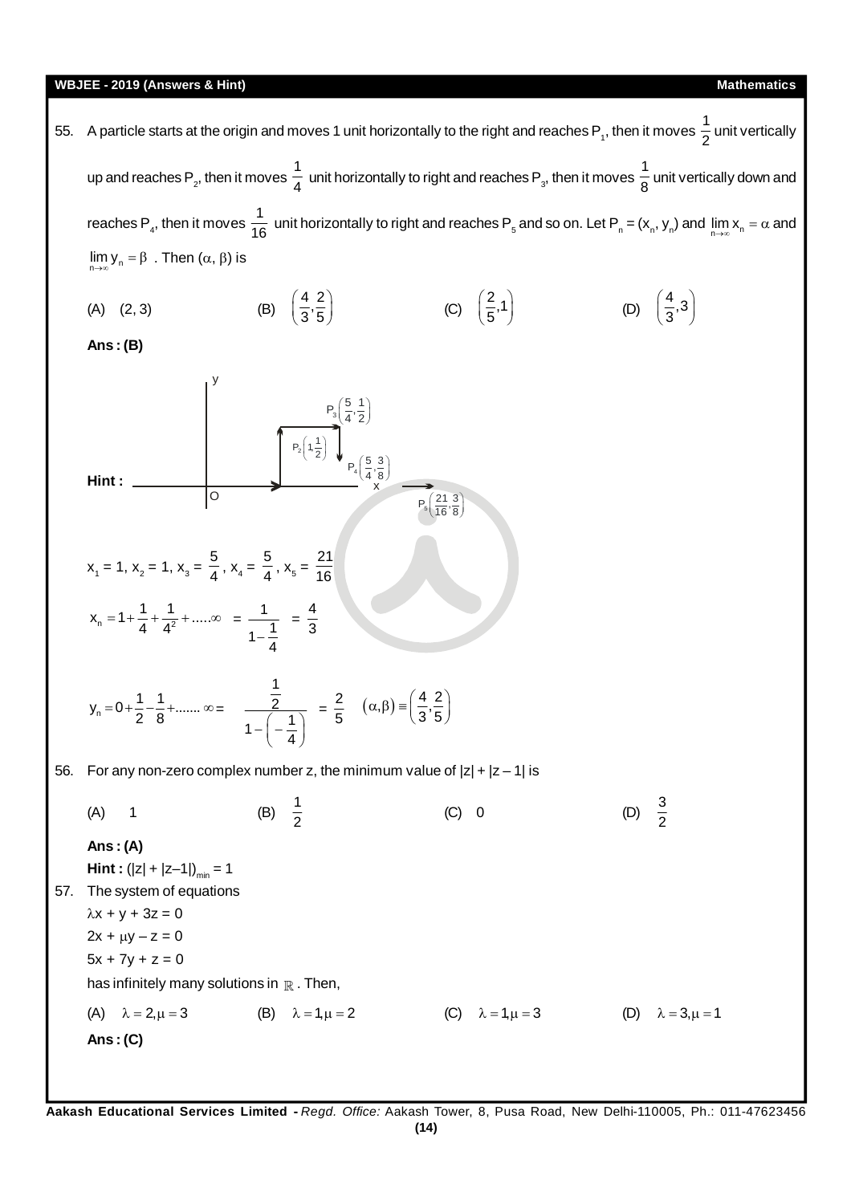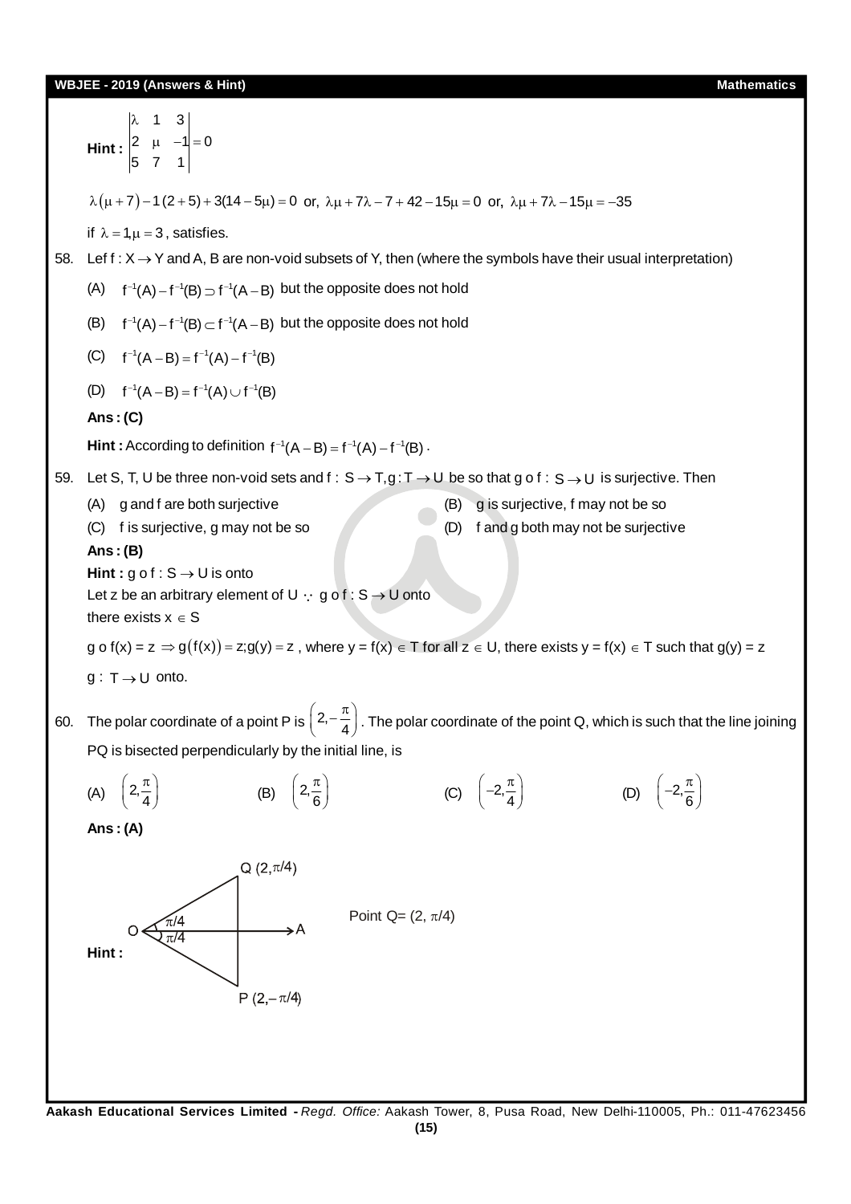

**(15)**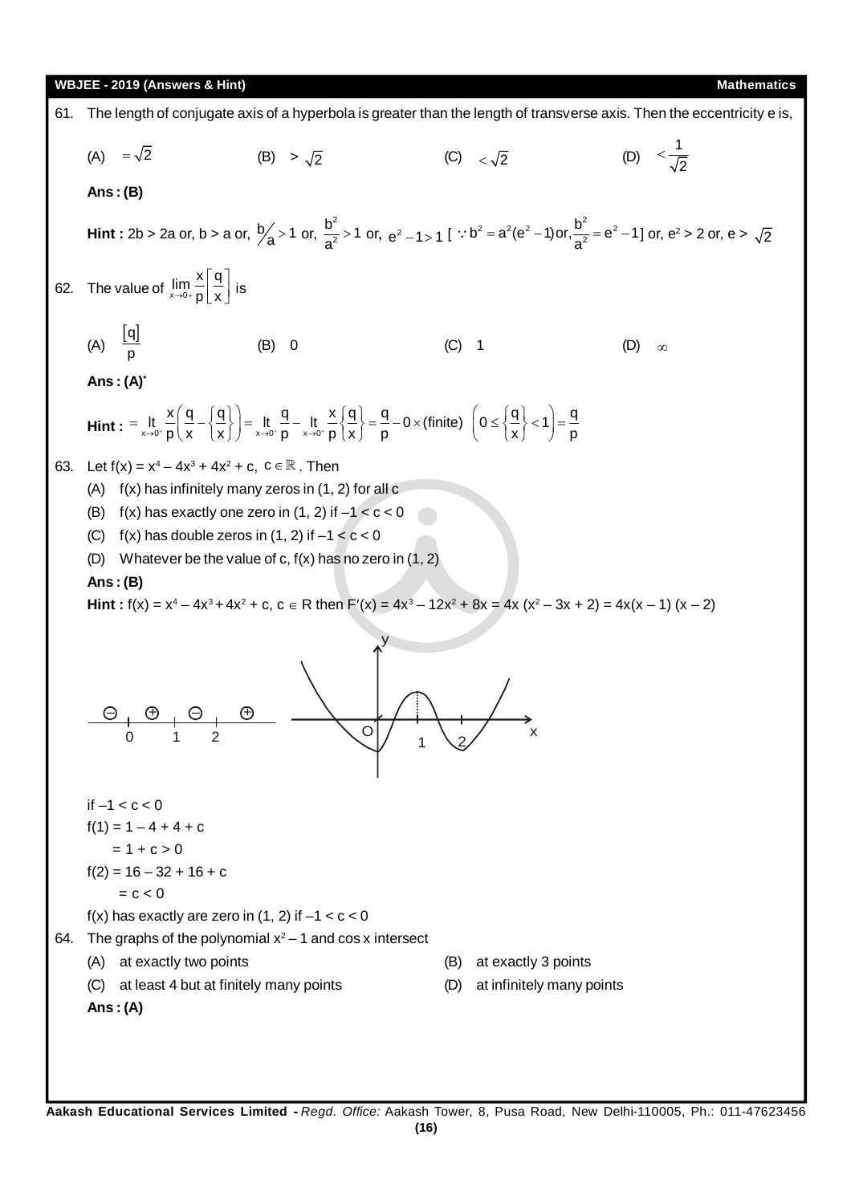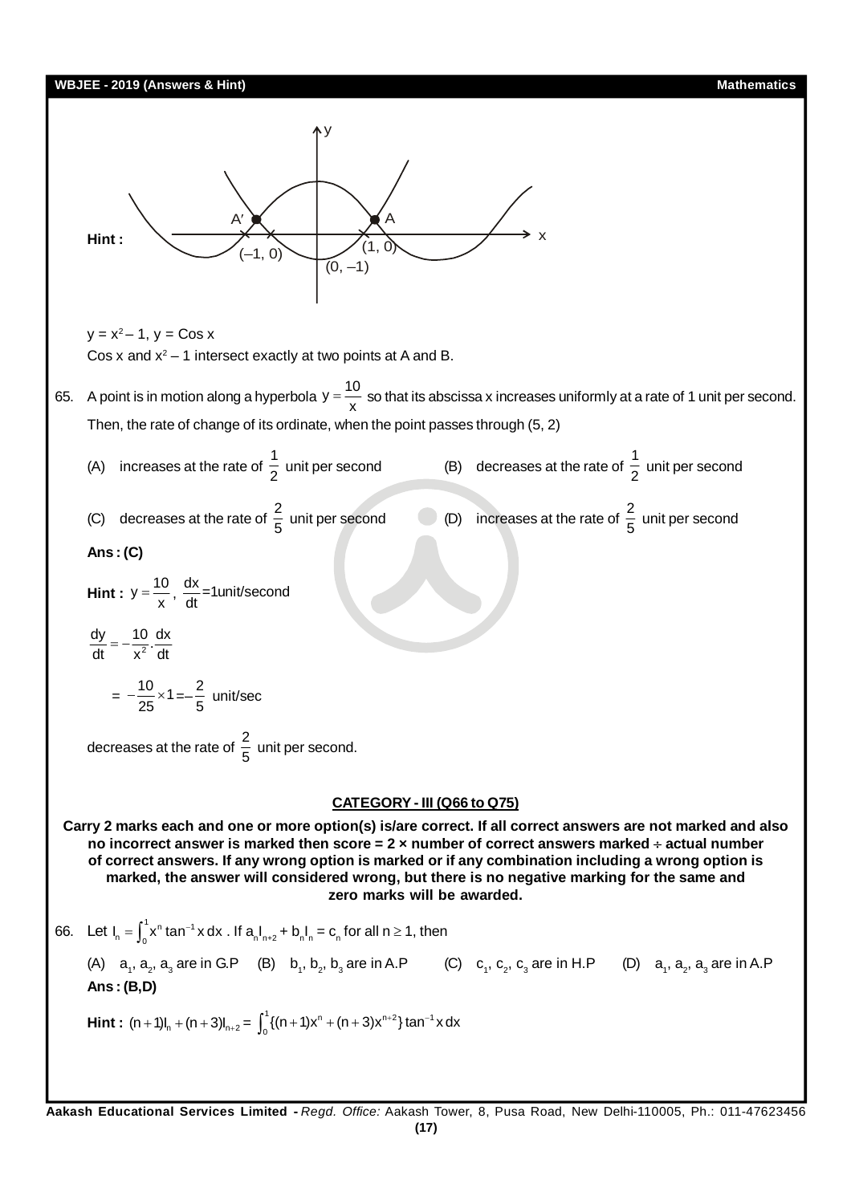# **WBJEE - 2019 (Answers & Hint) Mathematics Hint :** A  $(-1, 0)$  $(0, -1)$  $(1, 0)$ A y x  $y = x^2 - 1$ ,  $y = \cos x$ Cos x and  $x^2 - 1$  intersect exactly at two points at A and B. 65. A point is in motion along a hyperbola  $y = \frac{10}{x}$  so that its abscissa x increases uniformly at a rate of 1 unit per second. Then, the rate of change of its ordinate, when the point passes through (5, 2) (A) increases at the rate of  $\frac{1}{2}$  $\frac{1}{2}$  unit per second (B) decreases at the rate of  $\frac{1}{2}$  $\frac{1}{2}$  unit per second (C) decreases at the rate of  $\frac{2}{5}$  unit per second (D) increases at the rate of  $\frac{2}{5}$  unit per second **Ans : (C) Hint :**  $y = \frac{10}{x}$ ,  $\frac{dx}{dt} = 1$ unit/second 2  $\frac{dy}{dt} = -\frac{10}{x^2} \cdot \frac{dx}{dt}$  $=-\frac{10}{25} \times 1 = -\frac{2}{5}$ 5 unit/sec decreases at the rate of  $\frac{2}{5}$  $\frac{1}{5}$  unit per second. **CATEGORY - III (Q66 to Q75) Carry 2 marks each and one or more option(s) is/are correct. If all correct answers are not marked and also no incorrect answer is marked then score = 2 × number of correct answers marked actual number of correct answers. If any wrong option is marked or if any combination including a wrong option is marked, the answer will considered wrong, but there is no negative marking for the same and zero marks will be awarded.** 66. Let  $I_n = \int_0^1 x^n \tan^{-1} x \, dx$  . If  $a_n I_{n+2} + b_n I_n = c_n$  for all  $n \ge 1$ , then (A)  $a_1$ ,  $a_2$ ,  $a_3$  are in G.P (B)  $b_1$ ,  $b_2$ ,  $b_3$  are in A.P (C)  $c_1$ ,  $c_2$ ,  $c_3$  are in H.P (D)  $a_1$ ,  $a_2$ ,  $a_3$  are in A.P **Ans : (B,D) Hint :**  $(n + 1)I_n + (n + 3)I_{n+2} = \int_0^1 \{(n + 1)x^n + (n + 3)x^{n+2}\}\tan^{-1}$  $\int_0^1 \{(n+1)x^n + (n+3)x^{n+2}\} \tan^{-1} x dx$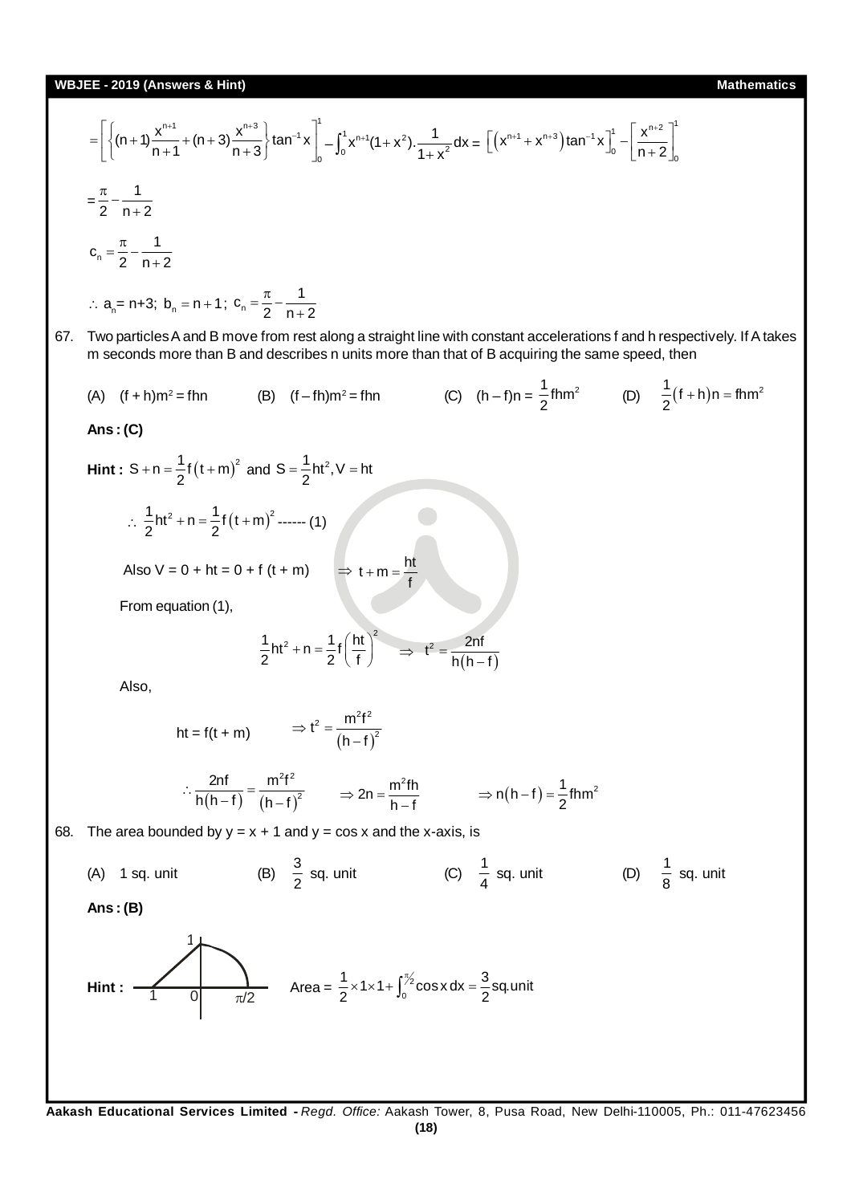$$
= \left[\left\{\left(n + 1\frac{x^{m_1}}{n+1} + (n+3)\frac{x^{m_2}}{n+3}\right\} \tan^{-1}x\right]_0^1 - \int_0^1 x^{m_1}(1+x^2) \cdot \frac{1}{1+x^2} dx = \left[\left(x^{m_1} + x^{m_2}\right) \tan^{-1}x\right]_0^1 - \left[\frac{x^{m_2}}{n+2}\right]_0^1
$$
\n
$$
= \frac{\pi}{2} - \frac{1}{n+2}
$$
\n
$$
\therefore a_n = n+3, b_n = n+1; c_n = \frac{\pi}{2} - \frac{1}{n+2}
$$
\n
$$
\therefore a_n = n+3, b_n = n+1; c_n = \frac{\pi}{2} - \frac{1}{n+2}
$$
\n
$$
\therefore a_n = n+3, b_n = n+1; c_n = \frac{\pi}{2} - \frac{1}{n+2}
$$
\n
$$
\therefore a_n = n+3, b_n = n+1; c_n = \frac{\pi}{2} - \frac{1}{n+2}
$$
\n
$$
\therefore a_n = n+3, b_n = n+1; c_n = \frac{\pi}{2} - \frac{1}{n+2}
$$
\n
$$
\therefore a_n = n+3, b_n = n+1; c_n = \frac{\pi}{2} - \frac{1}{n+2}
$$
\n
$$
\Rightarrow (8) \quad \text{(f-th)m}^2 = f \text{ fm}
$$
\n
$$
\Rightarrow (9) \quad \text{(h-thm)}^2 = f \text{ fm}
$$
\n
$$
\Rightarrow (1) \quad \text{(i)} \quad \text{(j)} \quad \text{(k)} \quad \text{(l)} \quad \text{(l)} \quad \text{(l)} \quad \text{(l)} \quad \text{(l)} \quad \text{(m)} \quad \text{(m)} \quad \text{(n)} \quad \text{(n)} \quad \text{(n)} \quad \text{(n)} \quad \text{(n)} \quad \text{(n)} \quad \text{(n)} \quad \text{(n)} \quad \text{(n)} \quad \text{(n)} \quad \text{(n)} \quad \text{(n)} \quad \text{(n)} \quad \text{(n)} \quad \text{(n)} \quad \text{(n)} \quad \text{(n)} \quad \text{(n)} \quad \text{(n)} \quad \text{(n)} \quad \text{(n)} \quad \text{(n)} \quad \text{(n)} \quad \text{(n)} \quad \
$$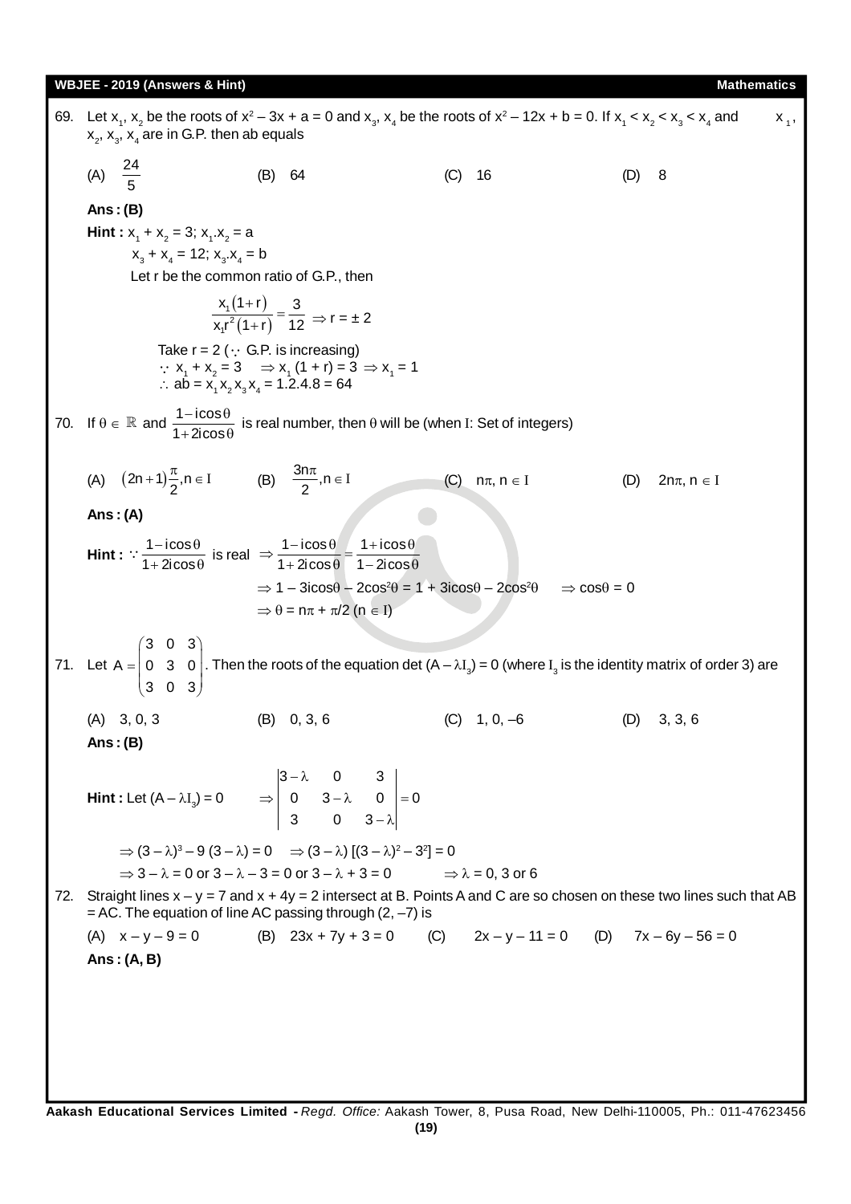| 69. | Let $x_1$ , $x_2$ be the roots of $x^2 - 3x + a = 0$ and $x_3$ , $x_4$ be the roots of $x^2 - 12x + b = 0$ . If $x_1 < x_2 < x_3 < x_4$ and<br>$X_1$ ,<br>$x_2$ , $x_3$ , $x_4$ are in G.P. then ab equals |                                                                                                                                                                                                                     |                                |                                                                                                                          |  |  |  |  |
|-----|------------------------------------------------------------------------------------------------------------------------------------------------------------------------------------------------------------|---------------------------------------------------------------------------------------------------------------------------------------------------------------------------------------------------------------------|--------------------------------|--------------------------------------------------------------------------------------------------------------------------|--|--|--|--|
|     | (A) $\frac{24}{5}$                                                                                                                                                                                         | (B) 64                                                                                                                                                                                                              | (C)<br>-16                     | 8<br>(D)                                                                                                                 |  |  |  |  |
|     | Ans: $(B)$                                                                                                                                                                                                 |                                                                                                                                                                                                                     |                                |                                                                                                                          |  |  |  |  |
|     | <b>Hint</b> : $x_1 + x_2 = 3$ ; $x_1 \cdot x_2 = a$                                                                                                                                                        |                                                                                                                                                                                                                     |                                |                                                                                                                          |  |  |  |  |
|     | $x_3 + x_4 = 12$ ; $x_3 \cdot x_4 = b$                                                                                                                                                                     |                                                                                                                                                                                                                     |                                |                                                                                                                          |  |  |  |  |
|     | Let r be the common ratio of G.P., then                                                                                                                                                                    |                                                                                                                                                                                                                     |                                |                                                                                                                          |  |  |  |  |
|     | $\frac{x_1(1+r)}{x_1r^2(1+r)} = \frac{3}{12} \Rightarrow r = \pm 2$                                                                                                                                        |                                                                                                                                                                                                                     |                                |                                                                                                                          |  |  |  |  |
|     |                                                                                                                                                                                                            | Take $r = 2$ ( $\cdot$ G.P. is increasing)<br>∴ $x_1 + x_2 = 3$ $\Rightarrow x_1 (1 + r) = 3$ $\Rightarrow x_1 = 1$<br>$\therefore$ ab = x <sub>1</sub> x <sub>2</sub> x <sub>2</sub> x <sub>2</sub> = 1.2.4.8 = 64 |                                |                                                                                                                          |  |  |  |  |
|     |                                                                                                                                                                                                            | 70. If $\theta \in \mathbb{R}$ and $\frac{1-\text{i} \cos \theta}{1+2 \text{i} \cos \theta}$ is real number, then $\theta$ will be (when I: Set of integers)                                                        |                                |                                                                                                                          |  |  |  |  |
|     | (A) $(2n+1)\frac{\pi}{2}, n \in I$ (B) $\frac{3n\pi}{2}, n \in I$                                                                                                                                          |                                                                                                                                                                                                                     | (C)<br>$n\pi$ , $n \in I$      | $2n\pi$ , $n \in I$<br>(D)                                                                                               |  |  |  |  |
|     | Ans: $(A)$                                                                                                                                                                                                 |                                                                                                                                                                                                                     |                                |                                                                                                                          |  |  |  |  |
|     |                                                                                                                                                                                                            | Hint: $\frac{1-\text{i} \cos \theta}{1+2 \text{i} \cos \theta}$ is real $\Rightarrow \frac{1-\text{i} \cos \theta}{1+2 \text{i} \cos \theta} = \frac{1+\text{i} \cos \theta}{1-2 \text{i} \cos \theta}$             |                                |                                                                                                                          |  |  |  |  |
|     |                                                                                                                                                                                                            | $\Rightarrow$ 1 – 3icos $\theta$ – 2cos <sup>2</sup> $\theta$ = 1 + 3icos $\theta$ – 2cos <sup>2</sup> $\theta$                                                                                                     | $\Rightarrow$ cos $\theta = 0$ |                                                                                                                          |  |  |  |  |
|     |                                                                                                                                                                                                            | $\Rightarrow$ $\theta$ = n $\pi$ + $\pi/2$ (n $\in$ I)                                                                                                                                                              |                                |                                                                                                                          |  |  |  |  |
|     |                                                                                                                                                                                                            |                                                                                                                                                                                                                     |                                |                                                                                                                          |  |  |  |  |
|     |                                                                                                                                                                                                            | 71. Let $A = \begin{pmatrix} 3 & 0 & 3 \\ 0 & 3 & 0 \\ 3 & 0 & 3 \end{pmatrix}$ . Then the roots of the equation det $(A - \lambda I_3) = 0$ (where $I_3$ is the identity matrix of order 3) are                    |                                |                                                                                                                          |  |  |  |  |
|     | $(A)$ 3, 0, 3                                                                                                                                                                                              | $(B)$ 0, 3, 6                                                                                                                                                                                                       | $(C)$ 1, 0, -6                 | 3, 3, 6<br>(D)                                                                                                           |  |  |  |  |
|     | Ans: $(B)$                                                                                                                                                                                                 |                                                                                                                                                                                                                     |                                |                                                                                                                          |  |  |  |  |
|     |                                                                                                                                                                                                            | <b>Hint</b> : Let $(A - \lambda I_3) = 0$ $\Rightarrow \begin{vmatrix} 3 - \lambda & 0 & 3 \\ 0 & 3 - \lambda & 0 \\ 3 & 0 & 3 - \lambda \end{vmatrix} = 0$                                                         |                                |                                                                                                                          |  |  |  |  |
|     |                                                                                                                                                                                                            |                                                                                                                                                                                                                     |                                |                                                                                                                          |  |  |  |  |
|     |                                                                                                                                                                                                            | $\Rightarrow (3 - \lambda)^3 - 9(3 - \lambda) = 0 \Rightarrow (3 - \lambda)[(3 - \lambda)^2 - 3^2] = 0$                                                                                                             |                                |                                                                                                                          |  |  |  |  |
|     |                                                                                                                                                                                                            | $\Rightarrow$ 3 – $\lambda$ = 0 or 3 – $\lambda$ – 3 = 0 or 3 – $\lambda$ + 3 = 0 $\Rightarrow$ $\lambda$ = 0, 3 or 6                                                                                               |                                |                                                                                                                          |  |  |  |  |
| 72. |                                                                                                                                                                                                            | $=$ AC. The equation of line AC passing through (2, $-7$ ) is                                                                                                                                                       |                                | Straight lines $x - y = 7$ and $x + 4y = 2$ intersect at B. Points A and C are so chosen on these two lines such that AB |  |  |  |  |
|     | (A) $x - y - 9 = 0$                                                                                                                                                                                        | (B) $23x + 7y + 3 = 0$ (C) $2x - y - 11 = 0$ (D) $7x - 6y - 56 = 0$                                                                                                                                                 |                                |                                                                                                                          |  |  |  |  |
|     | Ans: $(A, B)$                                                                                                                                                                                              |                                                                                                                                                                                                                     |                                |                                                                                                                          |  |  |  |  |
|     |                                                                                                                                                                                                            |                                                                                                                                                                                                                     |                                |                                                                                                                          |  |  |  |  |
|     |                                                                                                                                                                                                            |                                                                                                                                                                                                                     |                                |                                                                                                                          |  |  |  |  |
|     |                                                                                                                                                                                                            |                                                                                                                                                                                                                     |                                |                                                                                                                          |  |  |  |  |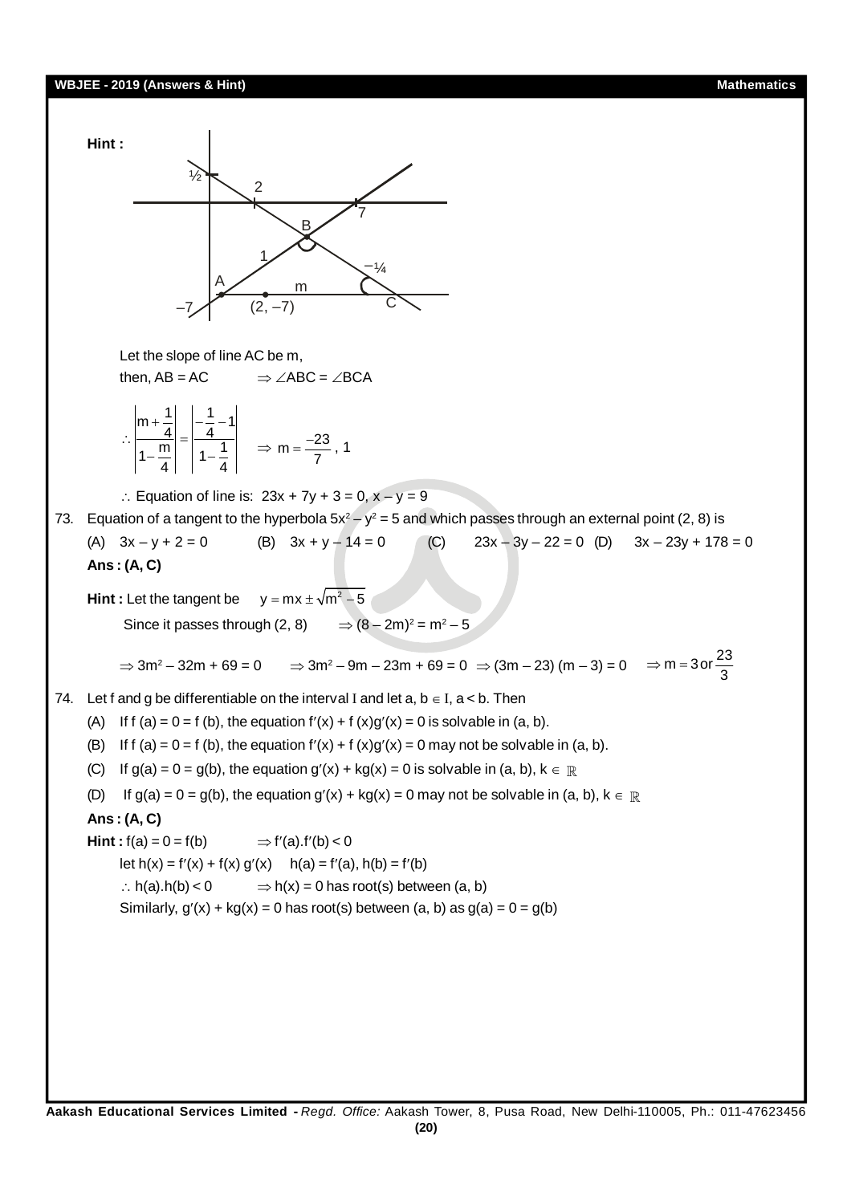